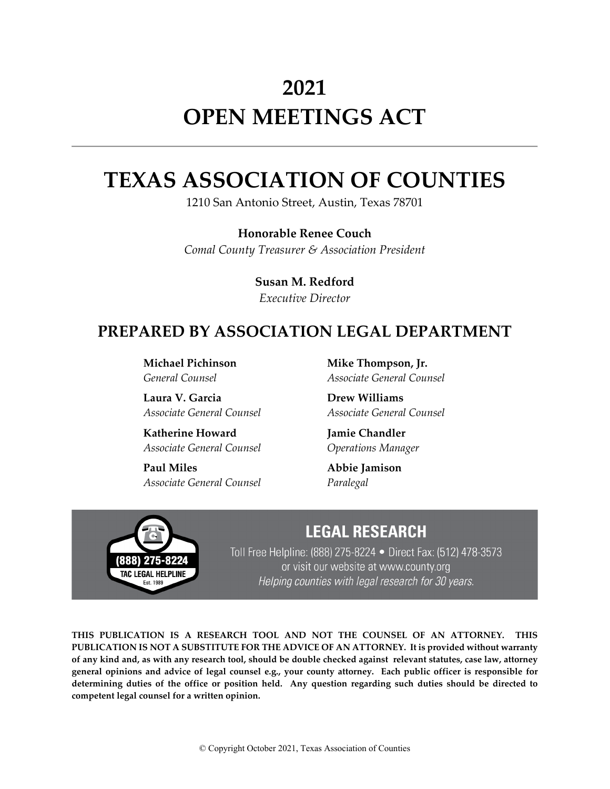# **2021 OPEN MEETINGS ACT**

# **TEXAS ASSOCIATION OF COUNTIES**

1210 San Antonio Street, Austin, Texas 78701

**Honorable Renee Couch**  *Comal County Treasurer & Association President*

> **Susan M. Redford** *Executive Director*

# **PREPARED BY ASSOCIATION LEGAL DEPARTMENT**

**Michael Pichinson** *General Counsel*

**Laura V. Garcia** *Associate General Counsel*

**Katherine Howard** *Associate General Counsel*

**Paul Miles** *Associate General Counsel*

**Mike Thompson, Jr.** *Associate General Counsel*

**Drew Williams** *Associate General Counsel*

**Jamie Chandler** *Operations Manager*

**Abbie Jamison** *Paralegal*



# **LEGAL RESEARCH**

Toll Free Helpline: (888) 275-8224 • Direct Fax: (512) 478-3573 or visit our website at www.county.org Helping counties with legal research for 30 years.

**THIS PUBLICATION IS A RESEARCH TOOL AND NOT THE COUNSEL OF AN ATTORNEY. THIS PUBLICATION IS NOT A SUBSTITUTE FOR THE ADVICE OF AN ATTORNEY. It is provided without warranty of any kind and, as with any research tool, should be double checked against relevant statutes, case law, attorney general opinions and advice of legal counsel e.g., your county attorney. Each public officer is responsible for determining duties of the office or position held. Any question regarding such duties should be directed to competent legal counsel for a written opinion.**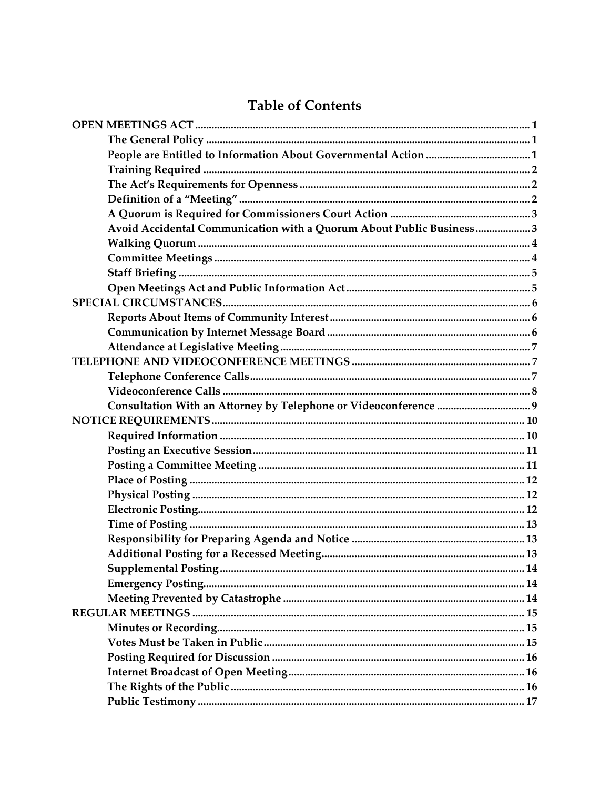# **Table of Contents**

| Avoid Accidental Communication with a Quorum About Public Business3 |  |
|---------------------------------------------------------------------|--|
|                                                                     |  |
|                                                                     |  |
|                                                                     |  |
|                                                                     |  |
|                                                                     |  |
|                                                                     |  |
|                                                                     |  |
|                                                                     |  |
|                                                                     |  |
|                                                                     |  |
|                                                                     |  |
|                                                                     |  |
|                                                                     |  |
|                                                                     |  |
|                                                                     |  |
|                                                                     |  |
|                                                                     |  |
|                                                                     |  |
|                                                                     |  |
|                                                                     |  |
|                                                                     |  |
|                                                                     |  |
|                                                                     |  |
|                                                                     |  |
|                                                                     |  |
|                                                                     |  |
|                                                                     |  |
|                                                                     |  |
|                                                                     |  |
|                                                                     |  |
|                                                                     |  |
|                                                                     |  |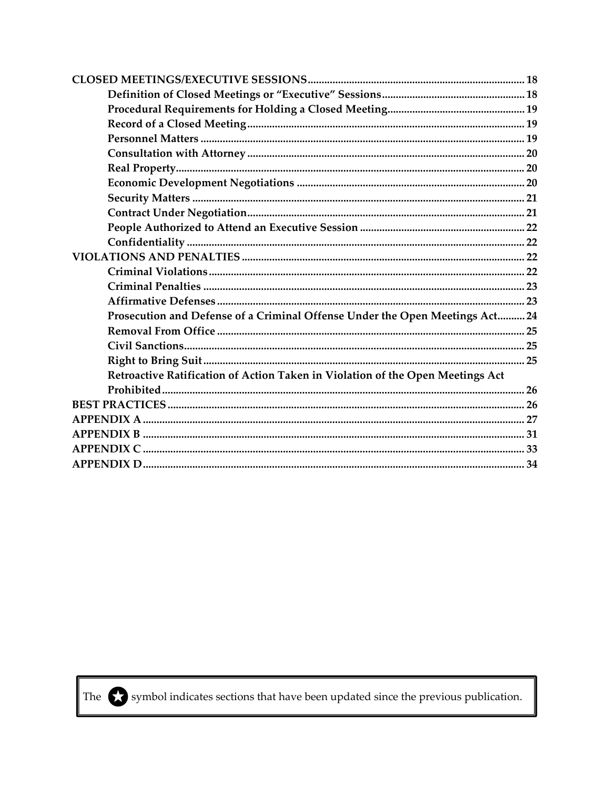| Prosecution and Defense of a Criminal Offense Under the Open Meetings Act 24   |  |
|--------------------------------------------------------------------------------|--|
|                                                                                |  |
|                                                                                |  |
|                                                                                |  |
| Retroactive Ratification of Action Taken in Violation of the Open Meetings Act |  |
|                                                                                |  |
|                                                                                |  |
|                                                                                |  |
|                                                                                |  |
|                                                                                |  |
|                                                                                |  |



The  $\bigodot$  symbol indicates sections that have been updated since the previous publication.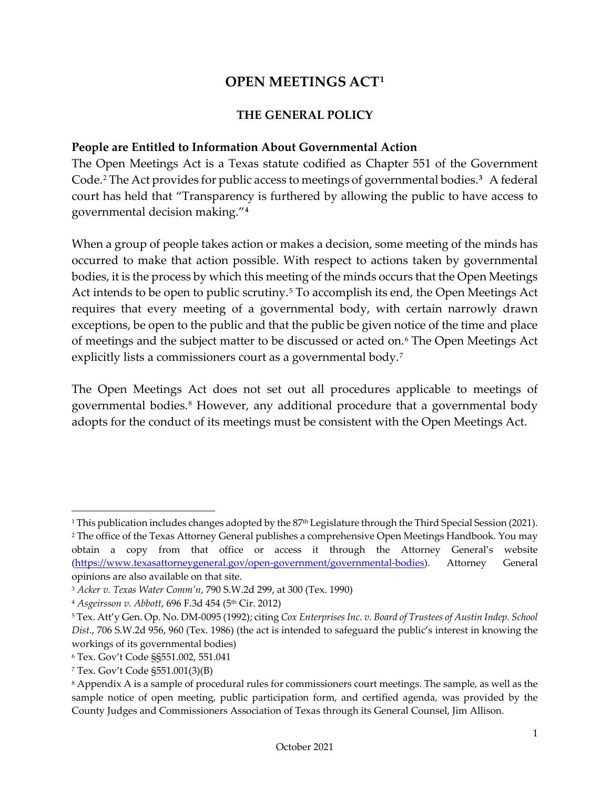# **OPEN MEETINGS ACT[1](#page-3-3)**

#### **THE GENERAL POLICY**

#### <span id="page-3-2"></span><span id="page-3-1"></span><span id="page-3-0"></span>**People are Entitled to Information About Governmental Action**

The Open Meetings Act is a Texas statute codified as Chapter 551 of the Government Code.[2](#page-3-4) The Act provides for public access to meetings of governmental bodies.**[3](#page-3-5)** A federal court has held that "Transparency is furthered by allowing the public to have access to governmental decision making."**[4](#page-3-6)**

When a group of people takes action or makes a decision, some meeting of the minds has occurred to make that action possible. With respect to actions taken by governmental bodies, it is the process by which this meeting of the minds occurs that the Open Meetings Act intends to be open to public scrutiny.<sup>[5](#page-3-7)</sup> To accomplish its end, the Open Meetings Act requires that every meeting of a governmental body, with certain narrowly drawn exceptions, be open to the public and that the public be given notice of the time and place of meetings and the subject matter to be discussed or acted on.[6](#page-3-8) The Open Meetings Act explicitly lists a commissioners court as a governmental body.<sup>7</sup>

The Open Meetings Act does not set out all procedures applicable to meetings of governmental bodies.[8](#page-3-10) However, any additional procedure that a governmental body adopts for the conduct of its meetings must be consistent with the Open Meetings Act.

<span id="page-3-3"></span><sup>1</sup> This publication includes changes adopted by the 87th Legislature through the Third Special Session (2021).

<span id="page-3-4"></span><sup>&</sup>lt;sup>2</sup> The office of the Texas Attorney General publishes a comprehensive Open Meetings Handbook. You may obtain a copy from that office or access it through the Attorney General's website [\(https://www.texasattorneygeneral.gov/open-government/governmental-bodies\)](https://www.texasattorneygeneral.gov/open-government/governmental-bodies). Attorney General opinions are also available on that site.

<span id="page-3-5"></span><sup>3</sup> *Acker v. Texas Water Comm'n*, 790 S.W.2d 299, at 300 (Tex. 1990)

<span id="page-3-6"></span><sup>4</sup> *Asgeirsson v. Abbott*, 696 F.3d 454 (5th Cir. 2012)

<span id="page-3-7"></span><sup>5</sup> Tex. Att'y Gen. Op. No. DM-0095 (1992); citing *Cox Enterprises Inc. v. Board of Trustees of Austin Indep. School Dist*., 706 S.W.2d 956, 960 (Tex. 1986) (the act is intended to safeguard the public's interest in knowing the workings of its governmental bodies)

<span id="page-3-8"></span><sup>6</sup> Tex. Gov't Code §§551.002, 551.041

<span id="page-3-9"></span><sup>7</sup> Tex. Gov't Code §551.001(3)(B)

<span id="page-3-10"></span><sup>8</sup> Appendix A is a sample of procedural rules for commissioners court meetings. The sample, as well as the sample notice of open meeting, public participation form, and certified agenda, was provided by the County Judges and Commissioners Association of Texas through its General Counsel, Jim Allison.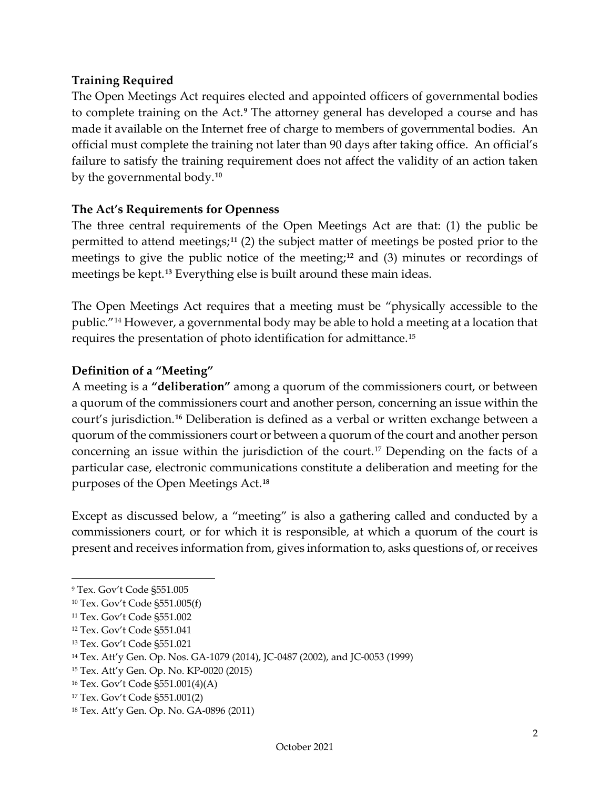#### <span id="page-4-0"></span>**Training Required**

The Open Meetings Act requires elected and appointed officers of governmental bodies to complete training on the Act.**[9](#page-4-3)** The attorney general has developed a course and has made it available on the Internet free of charge to members of governmental bodies. An official must complete the training not later than 90 days after taking office. An official's failure to satisfy the training requirement does not affect the validity of an action taken by the governmental body.**[10](#page-4-4)**

#### <span id="page-4-1"></span>**The Act's Requirements for Openness**

The three central requirements of the Open Meetings Act are that: (1) the public be permitted to attend meetings;**[11](#page-4-5)** (2) the subject matter of meetings be posted prior to the meetings to give the public notice of the meeting;**[12](#page-4-6)** and (3) minutes or recordings of meetings be kept.**[13](#page-4-7)** Everything else is built around these main ideas.

The Open Meetings Act requires that a meeting must be "physically accessible to the public."[14](#page-4-8) However, a governmental body may be able to hold a meeting at a location that requires the presentation of photo identification for admittance.[15](#page-4-9)

#### <span id="page-4-2"></span>**Definition of a "Meeting"**

A meeting is a **"deliberation"** among a quorum of the commissioners court, or between a quorum of the commissioners court and another person, concerning an issue within the court's jurisdiction.**[16](#page-4-10)** Deliberation is defined as a verbal or written exchange between a quorum of the commissioners court or between a quorum of the court and another person concerning an issue within the jurisdiction of the court.<sup>[17](#page-4-11)</sup> Depending on the facts of a particular case, electronic communications constitute a deliberation and meeting for the purposes of the Open Meetings Act.**[18](#page-4-12)**

Except as discussed below, a "meeting" is also a gathering called and conducted by a commissioners court, or for which it is responsible, at which a quorum of the court is present and receives information from, gives information to, asks questions of, or receives

<span id="page-4-3"></span><sup>9</sup> Tex. Gov't Code §551.005

<span id="page-4-4"></span><sup>10</sup> Tex. Gov't Code §551.005(f)

<span id="page-4-5"></span><sup>11</sup> Tex. Gov't Code §551.002

<span id="page-4-6"></span><sup>12</sup> Tex. Gov't Code §551.041

<span id="page-4-7"></span><sup>13</sup> Tex. Gov't Code §551.021

<span id="page-4-8"></span><sup>14</sup> Tex. Att'y Gen. Op. Nos. GA-1079 (2014), JC-0487 (2002), and JC-0053 (1999)

<span id="page-4-9"></span><sup>15</sup> Tex. Att'y Gen. Op. No. KP-0020 (2015)

<span id="page-4-10"></span><sup>16</sup> Tex. Gov't Code §551.001(4)(A)

<span id="page-4-11"></span><sup>17</sup> Tex. Gov't Code §551.001(2)

<span id="page-4-12"></span><sup>18</sup> Tex. Att'y Gen. Op. No. GA-0896 (2011)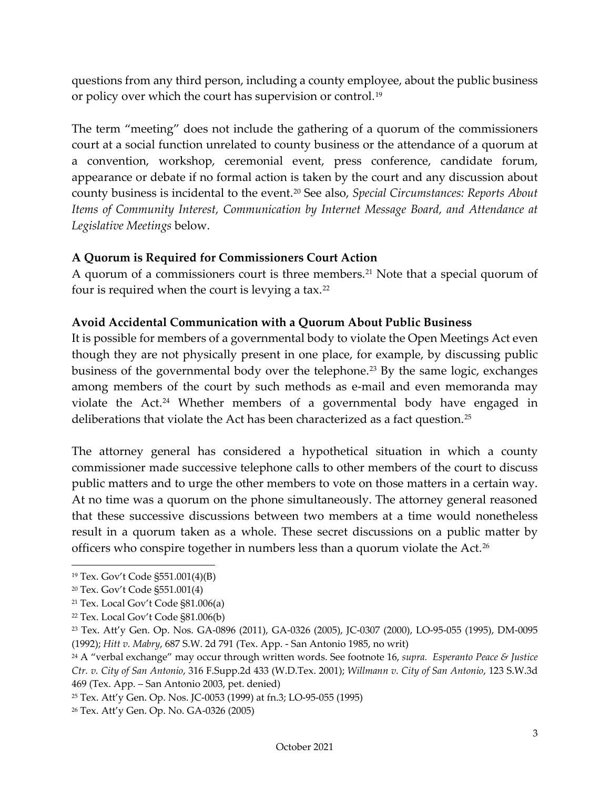questions from any third person, including a county employee, about the public business or policy over which the court has supervision or control.<sup>[19](#page-5-2)</sup>

The term "meeting" does not include the gathering of a quorum of the commissioners court at a social function unrelated to county business or the attendance of a quorum at a convention, workshop, ceremonial event, press conference, candidate forum, appearance or debate if no formal action is taken by the court and any discussion about county business is incidental to the event.[20](#page-5-3) See also, *Special Circumstances: Reports About Items of Community Interest, Communication by Internet Message Board, and Attendance at Legislative Meetings* below.

#### <span id="page-5-0"></span>**A Quorum is Required for Commissioners Court Action**

A quorum of a commissioners court is three members.<sup>[21](#page-5-4)</sup> Note that a special quorum of four is required when the court is levying a tax.[22](#page-5-5)

#### <span id="page-5-1"></span>**Avoid Accidental Communication with a Quorum About Public Business**

It is possible for members of a governmental body to violate the Open Meetings Act even though they are not physically present in one place, for example, by discussing public business of the governmental body over the telephone.<sup>[23](#page-5-6)</sup> By the same logic, exchanges among members of the court by such methods as e-mail and even memoranda may violate the Act.[24](#page-5-7) Whether members of a governmental body have engaged in deliberations that violate the Act has been characterized as a fact question.<sup>[25](#page-5-8)</sup>

The attorney general has considered a hypothetical situation in which a county commissioner made successive telephone calls to other members of the court to discuss public matters and to urge the other members to vote on those matters in a certain way. At no time was a quorum on the phone simultaneously. The attorney general reasoned that these successive discussions between two members at a time would nonetheless result in a quorum taken as a whole. These secret discussions on a public matter by officers who conspire together in numbers less than a quorum violate the Act.[26](#page-5-9)

<span id="page-5-2"></span><sup>19</sup> Tex. Gov't Code §551.001(4)(B)

<span id="page-5-3"></span><sup>20</sup> Tex. Gov't Code §551.001(4)

<span id="page-5-4"></span><sup>21</sup> Tex. Local Gov't Code §81.006(a)

<span id="page-5-5"></span><sup>22</sup> Tex. Local Gov't Code §81.006(b)

<span id="page-5-6"></span><sup>23</sup> Tex. Att'y Gen. Op. Nos. GA-0896 (2011), GA-0326 (2005), JC-0307 (2000), LO-95-055 (1995), DM-0095 (1992); *Hitt v. Mabry*, 687 S.W. 2d 791 (Tex. App. - San Antonio 1985, no writ)

<span id="page-5-7"></span><sup>24</sup> A "verbal exchange" may occur through written words. See footnote 16, *supra. Esperanto Peace & Justice Ctr. v. City of San Antonio*, 316 F.Supp.2d 433 (W.D.Tex. 2001); *Willmann v. City of San Antonio*, 123 S.W.3d 469 (Tex. App. – San Antonio 2003, pet. denied)

<span id="page-5-8"></span><sup>25</sup> Tex. Att'y Gen. Op. Nos. JC-0053 (1999) at fn.3; LO-95-055 (1995)

<span id="page-5-9"></span><sup>26</sup> Tex. Att'y Gen. Op. No. GA-0326 (2005)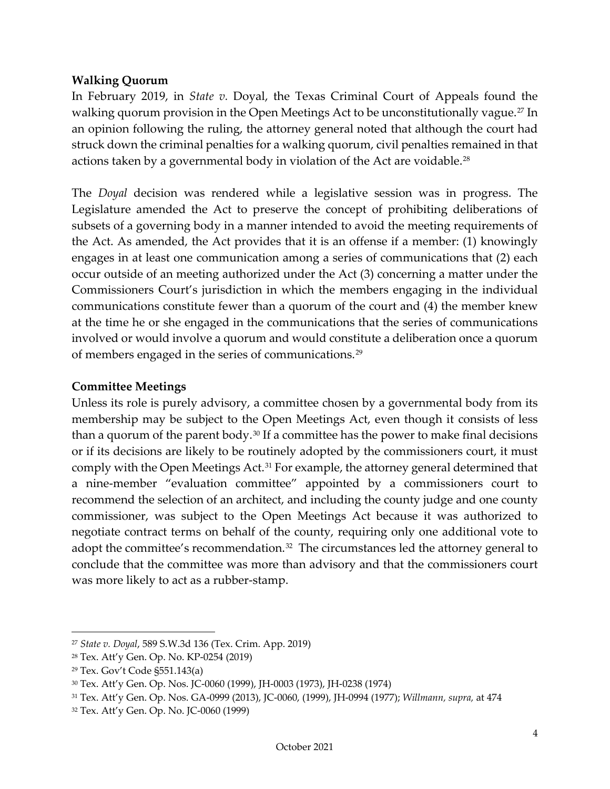#### <span id="page-6-0"></span>**Walking Quorum**

In February 2019, in *State v.* Doyal, the Texas Criminal Court of Appeals found the walking quorum provision in the Open Meetings Act to be unconstitutionally vague.<sup>[27](#page-6-2)</sup> In an opinion following the ruling, the attorney general noted that although the court had struck down the criminal penalties for a walking quorum, civil penalties remained in that actions taken by a governmental body in violation of the Act are voidable.<sup>[28](#page-6-3)</sup>

The *Doyal* decision was rendered while a legislative session was in progress. The Legislature amended the Act to preserve the concept of prohibiting deliberations of subsets of a governing body in a manner intended to avoid the meeting requirements of the Act. As amended, the Act provides that it is an offense if a member: (1) knowingly engages in at least one communication among a series of communications that (2) each occur outside of an meeting authorized under the Act (3) concerning a matter under the Commissioners Court's jurisdiction in which the members engaging in the individual communications constitute fewer than a quorum of the court and (4) the member knew at the time he or she engaged in the communications that the series of communications involved or would involve a quorum and would constitute a deliberation once a quorum of members engaged in the series of communications.[29](#page-6-4)

#### <span id="page-6-1"></span>**Committee Meetings**

Unless its role is purely advisory, a committee chosen by a governmental body from its membership may be subject to the Open Meetings Act, even though it consists of less than a quorum of the parent body.[30](#page-6-5) If a committee has the power to make final decisions or if its decisions are likely to be routinely adopted by the commissioners court, it must comply with the Open Meetings Act.<sup>[31](#page-6-6)</sup> For example, the attorney general determined that a nine-member "evaluation committee" appointed by a commissioners court to recommend the selection of an architect, and including the county judge and one county commissioner, was subject to the Open Meetings Act because it was authorized to negotiate contract terms on behalf of the county, requiring only one additional vote to adopt the committee's recommendation.<sup>32</sup> The circumstances led the attorney general to conclude that the committee was more than advisory and that the commissioners court was more likely to act as a rubber-stamp.

<span id="page-6-2"></span><sup>27</sup> *State v. Doyal*, 589 S.W.3d 136 (Tex. Crim. App. 2019)

<span id="page-6-3"></span><sup>28</sup> Tex. Att'y Gen. Op. No. KP-0254 (2019)

<span id="page-6-4"></span><sup>29</sup> Tex. Gov't Code §551.143(a)

<span id="page-6-5"></span><sup>30</sup> Tex. Att'y Gen. Op. Nos. JC-0060 (1999), JH-0003 (1973), JH-0238 (1974)

<span id="page-6-6"></span><sup>31</sup> Tex. Att'y Gen. Op. Nos. GA-0999 (2013), JC-0060, (1999), JH-0994 (1977); *Willmann, supra,* at 474

<span id="page-6-7"></span><sup>32</sup> Tex. Att'y Gen. Op. No. JC-0060 (1999)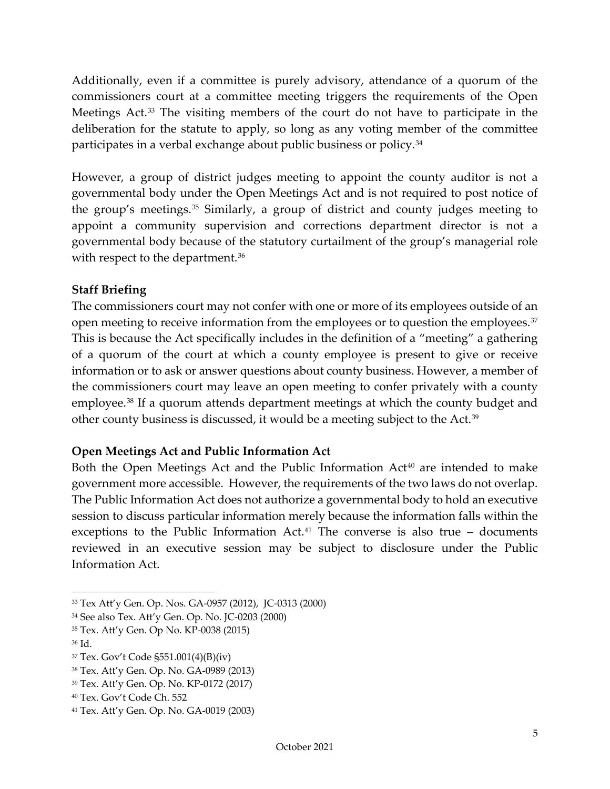Additionally, even if a committee is purely advisory, attendance of a quorum of the commissioners court at a committee meeting triggers the requirements of the Open Meetings Act.[33](#page-7-2) The visiting members of the court do not have to participate in the deliberation for the statute to apply, so long as any voting member of the committee participates in a verbal exchange about public business or policy.<sup>[34](#page-7-3)</sup>

However, a group of district judges meeting to appoint the county auditor is not a governmental body under the Open Meetings Act and is not required to post notice of the group's meetings.[35](#page-7-4) Similarly, a group of district and county judges meeting to appoint a community supervision and corrections department director is not a governmental body because of the statutory curtailment of the group's managerial role with respect to the department.<sup>[36](#page-7-5)</sup>

#### <span id="page-7-0"></span>**Staff Briefing**

The commissioners court may not confer with one or more of its employees outside of an open meeting to receive information from the employees or to question the employees.<sup>[37](#page-7-6)</sup> This is because the Act specifically includes in the definition of a "meeting" a gathering of a quorum of the court at which a county employee is present to give or receive information or to ask or answer questions about county business. However, a member of the commissioners court may leave an open meeting to confer privately with a county employee.[38](#page-7-7) If a quorum attends department meetings at which the county budget and other county business is discussed, it would be a meeting subject to the Act.[39](#page-7-8)

#### <span id="page-7-1"></span>**Open Meetings Act and Public Information Act**

Both the Open Meetings Act and the Public Information  $Act^{40}$  $Act^{40}$  $Act^{40}$  are intended to make government more accessible. However, the requirements of the two laws do not overlap. The Public Information Act does not authorize a governmental body to hold an executive session to discuss particular information merely because the information falls within the exceptions to the Public Information Act.<sup>[41](#page-7-10)</sup> The converse is also true  $-$  documents reviewed in an executive session may be subject to disclosure under the Public Information Act.

<span id="page-7-2"></span><sup>33</sup> Tex Att'y Gen. Op. Nos. GA-0957 (2012), JC-0313 (2000)

<span id="page-7-3"></span><sup>34</sup> See also Tex. Att'y Gen. Op. No. JC-0203 (2000)

<span id="page-7-4"></span><sup>35</sup> Tex. Att'y Gen. Op No. KP-0038 (2015)

<span id="page-7-5"></span><sup>36</sup> Id.

<span id="page-7-6"></span><sup>37</sup> Tex. Gov't Code §551.001(4)(B)(iv)

<span id="page-7-7"></span><sup>38</sup> Tex. Att'y Gen. Op. No. GA-0989 (2013)

<span id="page-7-8"></span><sup>39</sup> Tex. Att'y Gen. Op. No. KP-0172 (2017)

<span id="page-7-9"></span><sup>40</sup> Tex. Gov't Code Ch. 552

<span id="page-7-10"></span><sup>41</sup> Tex. Att'y Gen. Op. No. GA-0019 (2003)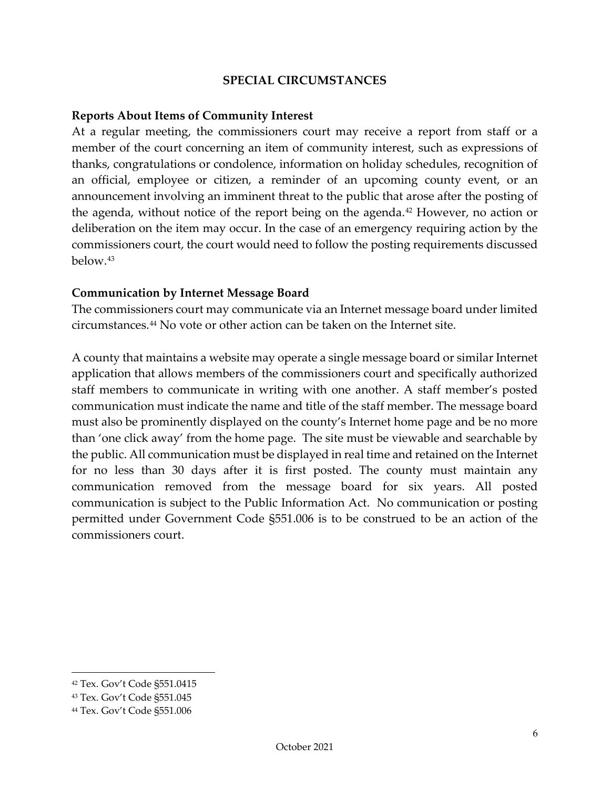#### **SPECIAL CIRCUMSTANCES**

#### <span id="page-8-1"></span><span id="page-8-0"></span>**Reports About Items of Community Interest**

At a regular meeting, the commissioners court may receive a report from staff or a member of the court concerning an item of community interest, such as expressions of thanks, congratulations or condolence, information on holiday schedules, recognition of an official, employee or citizen, a reminder of an upcoming county event, or an announcement involving an imminent threat to the public that arose after the posting of the agenda, without notice of the report being on the agenda.<sup>[42](#page-8-3)</sup> However, no action or deliberation on the item may occur. In the case of an emergency requiring action by the commissioners court, the court would need to follow the posting requirements discussed below.[43](#page-8-4)

#### <span id="page-8-2"></span>**Communication by Internet Message Board**

The commissioners court may communicate via an Internet message board under limited circumstances.[44](#page-8-5) No vote or other action can be taken on the Internet site.

A county that maintains a website may operate a single message board or similar Internet application that allows members of the commissioners court and specifically authorized staff members to communicate in writing with one another. A staff member's posted communication must indicate the name and title of the staff member. The message board must also be prominently displayed on the county's Internet home page and be no more than 'one click away' from the home page. The site must be viewable and searchable by the public. All communication must be displayed in real time and retained on the Internet for no less than 30 days after it is first posted. The county must maintain any communication removed from the message board for six years. All posted communication is subject to the Public Information Act. No communication or posting permitted under Government Code §551.006 is to be construed to be an action of the commissioners court.

<span id="page-8-3"></span><sup>42</sup> Tex. Gov't Code §551.0415

<span id="page-8-4"></span><sup>43</sup> Tex. Gov't Code §551.045

<span id="page-8-5"></span><sup>44</sup> Tex. Gov't Code §551.006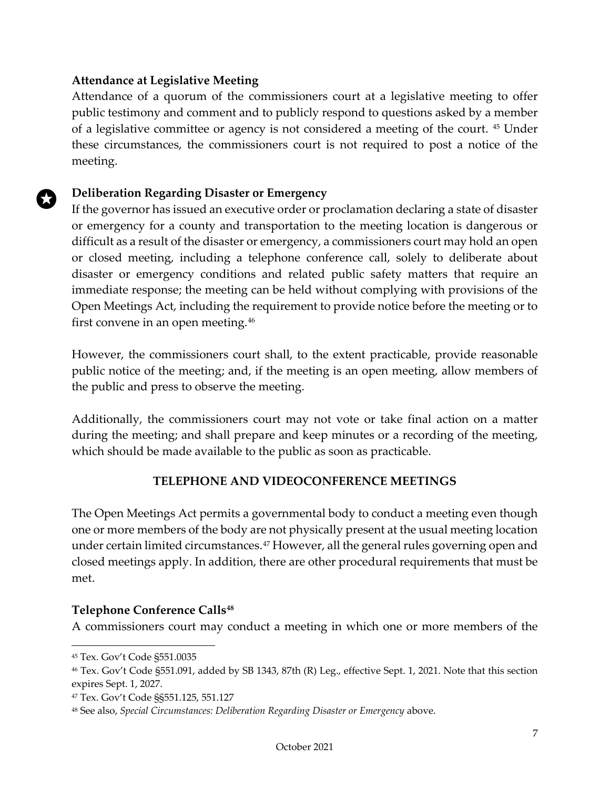#### <span id="page-9-0"></span>**Attendance at Legislative Meeting**

Attendance of a quorum of the commissioners court at a legislative meeting to offer public testimony and comment and to publicly respond to questions asked by a member of a legislative committee or agency is not considered a meeting of the court. [45](#page-9-3) Under these circumstances, the commissioners court is not required to post a notice of the meeting.

#### **Deliberation Regarding Disaster or Emergency**

If the governor has issued an executive order or proclamation declaring a state of disaster or emergency for a county and transportation to the meeting location is dangerous or difficult as a result of the disaster or emergency, a commissioners court may hold an open or closed meeting, including a telephone conference call, solely to deliberate about disaster or emergency conditions and related public safety matters that require an immediate response; the meeting can be held without complying with provisions of the Open Meetings Act, including the requirement to provide notice before the meeting or to first convene in an open meeting.[46](#page-9-4)

However, the commissioners court shall, to the extent practicable, provide reasonable public notice of the meeting; and, if the meeting is an open meeting, allow members of the public and press to observe the meeting.

Additionally, the commissioners court may not vote or take final action on a matter during the meeting; and shall prepare and keep minutes or a recording of the meeting, which should be made available to the public as soon as practicable.

#### **TELEPHONE AND VIDEOCONFERENCE MEETINGS**

<span id="page-9-1"></span>The Open Meetings Act permits a governmental body to conduct a meeting even though one or more members of the body are not physically present at the usual meeting location under certain limited circumstances.<sup>[47](#page-9-5)</sup> However, all the general rules governing open and closed meetings apply. In addition, there are other procedural requirements that must be met.

#### <span id="page-9-2"></span>**Telephone Conference Calls[48](#page-9-6)**

A commissioners court may conduct a meeting in which one or more members of the

<span id="page-9-3"></span><sup>45</sup> Tex. Gov't Code §551.0035

<span id="page-9-4"></span><sup>46</sup> Tex. Gov't Code §551.091, added by SB 1343, 87th (R) Leg., effective Sept. 1, 2021. Note that this section expires Sept. 1, 2027.

<span id="page-9-5"></span><sup>47</sup> Tex. Gov't Code §§551.125, 551.127

<span id="page-9-6"></span><sup>48</sup> See also, *Special Circumstances: Deliberation Regarding Disaster or Emergency* above.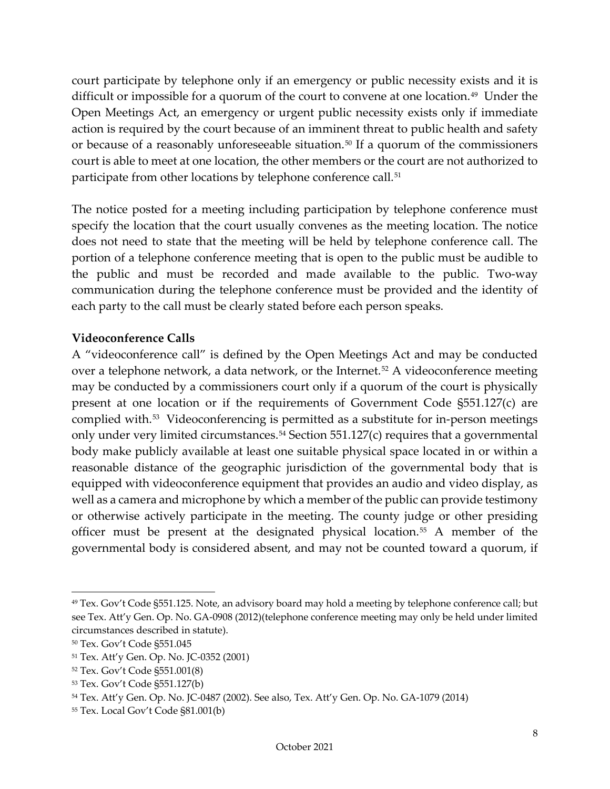court participate by telephone only if an emergency or public necessity exists and it is difficult or impossible for a quorum of the court to convene at one location.<sup>49</sup> Under the Open Meetings Act, an emergency or urgent public necessity exists only if immediate action is required by the court because of an imminent threat to public health and safety or because of a reasonably unforeseeable situation.<sup>[50](#page-10-2)</sup> If a quorum of the commissioners court is able to meet at one location, the other members or the court are not authorized to participate from other locations by telephone conference call.<sup>[51](#page-10-3)</sup>

The notice posted for a meeting including participation by telephone conference must specify the location that the court usually convenes as the meeting location. The notice does not need to state that the meeting will be held by telephone conference call. The portion of a telephone conference meeting that is open to the public must be audible to the public and must be recorded and made available to the public. Two-way communication during the telephone conference must be provided and the identity of each party to the call must be clearly stated before each person speaks.

#### <span id="page-10-0"></span>**Videoconference Calls**

A "videoconference call" is defined by the Open Meetings Act and may be conducted over a telephone network, a data network, or the Internet.<sup>[52](#page-10-4)</sup> A videoconference meeting may be conducted by a commissioners court only if a quorum of the court is physically present at one location or if the requirements of Government Code §551.127(c) are complied with.[53](#page-10-5) Videoconferencing is permitted as a substitute for in-person meetings only under very limited circumstances. $54$  Section  $551.127(c)$  requires that a governmental body make publicly available at least one suitable physical space located in or within a reasonable distance of the geographic jurisdiction of the governmental body that is equipped with videoconference equipment that provides an audio and video display, as well as a camera and microphone by which a member of the public can provide testimony or otherwise actively participate in the meeting. The county judge or other presiding officer must be present at the designated physical location.[55](#page-10-7) A member of the governmental body is considered absent, and may not be counted toward a quorum, if

<span id="page-10-1"></span><sup>49</sup> Tex. Gov't Code §551.125. Note, an advisory board may hold a meeting by telephone conference call; but see Tex. Att'y Gen. Op. No. GA-0908 (2012)(telephone conference meeting may only be held under limited circumstances described in statute).

<span id="page-10-2"></span><sup>50</sup> Tex. Gov't Code §551.045

<span id="page-10-3"></span><sup>51</sup> Tex. Att'y Gen. Op. No. JC-0352 (2001)

<span id="page-10-4"></span><sup>52</sup> Tex. Gov't Code §551.001(8)

<span id="page-10-5"></span><sup>53</sup> Tex. Gov't Code §551.127(b)

<span id="page-10-6"></span><sup>54</sup> Tex. Att'y Gen. Op. No. JC-0487 (2002). See also, Tex. Att'y Gen. Op. No. GA-1079 (2014)

<span id="page-10-7"></span><sup>55</sup> Tex. Local Gov't Code §81.001(b)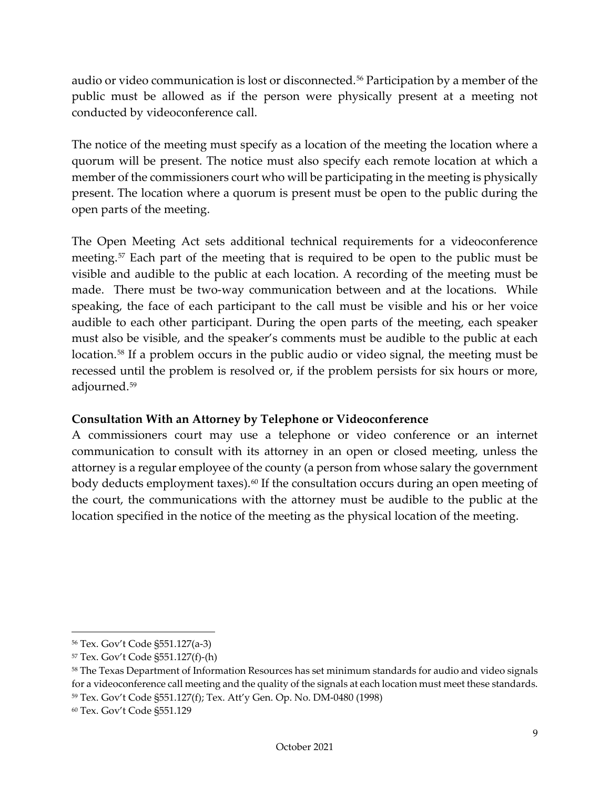audio or video communication is lost or disconnected.<sup>[56](#page-11-2)</sup> Participation by a member of the public must be allowed as if the person were physically present at a meeting not conducted by videoconference call.

The notice of the meeting must specify as a location of the meeting the location where a quorum will be present. The notice must also specify each remote location at which a member of the commissioners court who will be participating in the meeting is physically present. The location where a quorum is present must be open to the public during the open parts of the meeting.

The Open Meeting Act sets additional technical requirements for a videoconference meeting.[57](#page-11-3) Each part of the meeting that is required to be open to the public must be visible and audible to the public at each location. A recording of the meeting must be made. There must be two-way communication between and at the locations. While speaking, the face of each participant to the call must be visible and his or her voice audible to each other participant. During the open parts of the meeting, each speaker must also be visible, and the speaker's comments must be audible to the public at each location.<sup>[58](#page-11-4)</sup> If a problem occurs in the public audio or video signal, the meeting must be recessed until the problem is resolved or, if the problem persists for six hours or more, adjourned.[59](#page-11-5)

## <span id="page-11-0"></span>**Consultation With an Attorney by Telephone or Videoconference**

<span id="page-11-1"></span>A commissioners court may use a telephone or video conference or an internet communication to consult with its attorney in an open or closed meeting, unless the attorney is a regular employee of the county (a person from whose salary the government body deducts employment taxes).<sup>[60](#page-11-6)</sup> If the consultation occurs during an open meeting of the court, the communications with the attorney must be audible to the public at the location specified in the notice of the meeting as the physical location of the meeting.

<span id="page-11-2"></span><sup>56</sup> Tex. Gov't Code §551.127(a-3)

<span id="page-11-3"></span><sup>57</sup> Tex. Gov't Code §551.127(f)-(h)

<span id="page-11-4"></span><sup>58</sup> The Texas Department of Information Resources has set minimum standards for audio and video signals for a videoconference call meeting and the quality of the signals at each location must meet these standards. <sup>59</sup> Tex. Gov't Code §551.127(f); Tex. Att'y Gen. Op. No. DM-0480 (1998)

<span id="page-11-6"></span><span id="page-11-5"></span><sup>60</sup> Tex. Gov't Code §551.129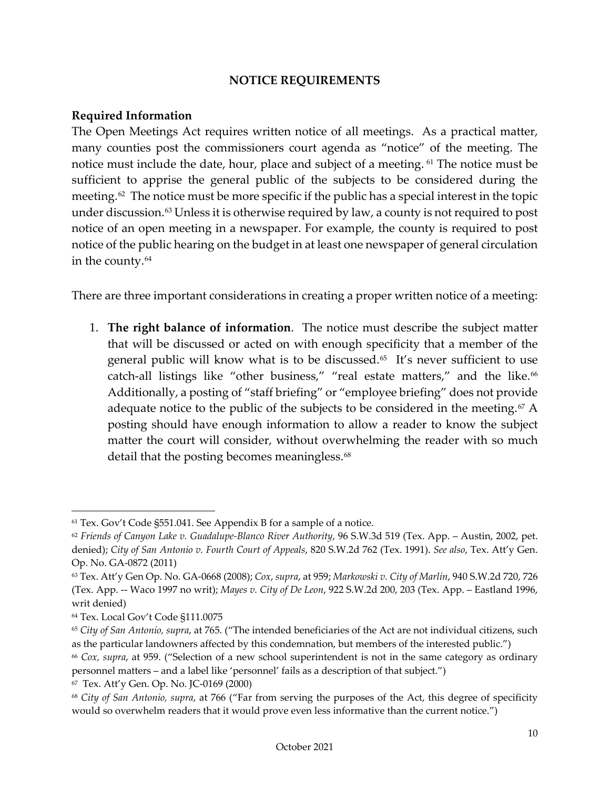#### **NOTICE REQUIREMENTS**

#### <span id="page-12-0"></span>**Required Information**

The Open Meetings Act requires written notice of all meetings. As a practical matter, many counties post the commissioners court agenda as "notice" of the meeting. The notice must include the date, hour, place and subject of a meeting. <sup>[61](#page-12-1)</sup> The notice must be sufficient to apprise the general public of the subjects to be considered during the meeting.<sup>62</sup> The notice must be more specific if the public has a special interest in the topic under discussion.[63](#page-12-3) Unless it is otherwise required by law, a county is not required to post notice of an open meeting in a newspaper. For example, the county is required to post notice of the public hearing on the budget in at least one newspaper of general circulation in the county.<sup>[64](#page-12-4)</sup>

There are three important considerations in creating a proper written notice of a meeting:

1. **The right balance of information**. The notice must describe the subject matter that will be discussed or acted on with enough specificity that a member of the general public will know what is to be discussed.<sup>65</sup> It's never sufficient to use catch-all listings like "other business," "real estate matters," and the like.<sup>[66](#page-12-6)</sup> Additionally, a posting of "staff briefing" or "employee briefing" does not provide adequate notice to the public of the subjects to be considered in the meeting.<sup>[67](#page-12-7)</sup> A posting should have enough information to allow a reader to know the subject matter the court will consider, without overwhelming the reader with so much detail that the posting becomes meaningless.<sup>[68](#page-12-8)</sup>

<span id="page-12-1"></span><sup>61</sup> Tex. Gov't Code §551.041. See Appendix B for a sample of a notice.

<span id="page-12-2"></span><sup>62</sup> *Friends of Canyon Lake v. Guadalupe-Blanco River Authority*, 96 S.W.3d 519 (Tex. App. – Austin, 2002, pet. denied); *City of San Antonio v. Fourth Court of Appeals*, 820 S.W.2d 762 (Tex. 1991). *See also*, Tex. Att'y Gen. Op. No. GA-0872 (2011)

<span id="page-12-3"></span><sup>63</sup> Tex. Att'y Gen Op. No. GA-0668 (2008); *Cox*, *supra*, at 959; *Markowski v. City of Marlin*, 940 S.W.2d 720, 726 (Tex. App. -- Waco 1997 no writ); *Mayes v. City of De Leon*, 922 S.W.2d 200, 203 (Tex. App. – Eastland 1996, writ denied)

<span id="page-12-4"></span><sup>64</sup> Tex. Local Gov't Code §111.0075

<span id="page-12-5"></span><sup>65</sup> *City of San Antonio, supra*, at 765. ("The intended beneficiaries of the Act are not individual citizens, such as the particular landowners affected by this condemnation, but members of the interested public.")

<span id="page-12-6"></span><sup>66</sup> *Cox, supra*, at 959. ("Selection of a new school superintendent is not in the same category as ordinary personnel matters – and a label like 'personnel' fails as a description of that subject.")

<span id="page-12-7"></span><sup>67</sup> Tex. Att'y Gen. Op. No. JC-0169 (2000)

<span id="page-12-8"></span><sup>68</sup> *City of San Antonio, supra*, at 766 ("Far from serving the purposes of the Act, this degree of specificity would so overwhelm readers that it would prove even less informative than the current notice.")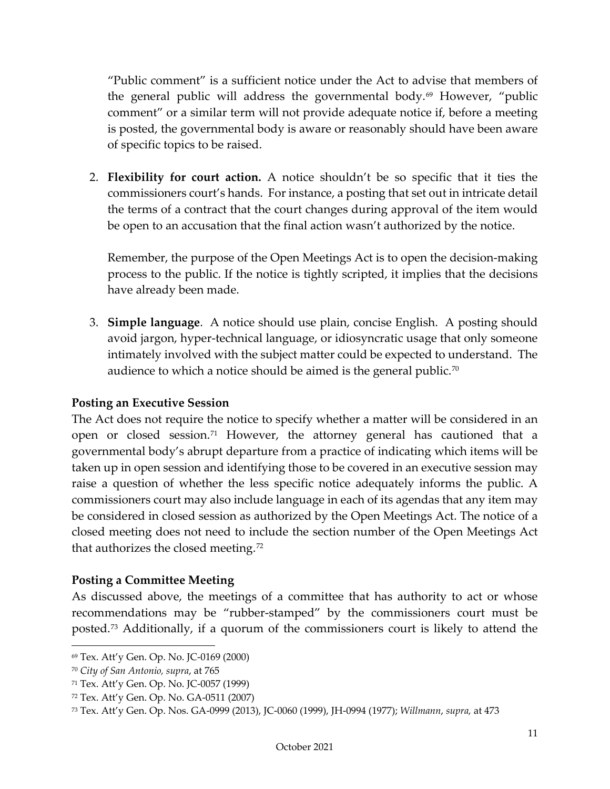"Public comment" is a sufficient notice under the Act to advise that members of the general public will address the governmental body.<sup>[69](#page-13-2)</sup> However, "public comment" or a similar term will not provide adequate notice if, before a meeting is posted, the governmental body is aware or reasonably should have been aware of specific topics to be raised.

2. **Flexibility for court action.** A notice shouldn't be so specific that it ties the commissioners court's hands. For instance, a posting that set out in intricate detail the terms of a contract that the court changes during approval of the item would be open to an accusation that the final action wasn't authorized by the notice.

Remember, the purpose of the Open Meetings Act is to open the decision-making process to the public. If the notice is tightly scripted, it implies that the decisions have already been made.

3. **Simple language**. A notice should use plain, concise English. A posting should avoid jargon, hyper-technical language, or idiosyncratic usage that only someone intimately involved with the subject matter could be expected to understand. The audience to which a notice should be aimed is the general public.<sup>[70](#page-13-3)</sup>

## <span id="page-13-0"></span>**Posting an Executive Session**

The Act does not require the notice to specify whether a matter will be considered in an open or closed session.<sup>[71](#page-13-4)</sup> However, the attorney general has cautioned that a governmental body's abrupt departure from a practice of indicating which items will be taken up in open session and identifying those to be covered in an executive session may raise a question of whether the less specific notice adequately informs the public. A commissioners court may also include language in each of its agendas that any item may be considered in closed session as authorized by the Open Meetings Act. The notice of a closed meeting does not need to include the section number of the Open Meetings Act that authorizes the closed meeting.<sup>[72](#page-13-5)</sup>

#### <span id="page-13-1"></span>**Posting a Committee Meeting**

As discussed above, the meetings of a committee that has authority to act or whose recommendations may be "rubber-stamped" by the commissioners court must be posted.[73](#page-13-6) Additionally, if a quorum of the commissioners court is likely to attend the

<span id="page-13-2"></span><sup>69</sup> Tex. Att'y Gen. Op. No. JC-0169 (2000)

<span id="page-13-3"></span><sup>70</sup> *City of San Antonio, supra*, at 765

<span id="page-13-4"></span><sup>71</sup> Tex. Att'y Gen. Op. No. JC-0057 (1999)

<span id="page-13-5"></span><sup>72</sup> Tex. Att'y Gen. Op. No. GA-0511 (2007)

<span id="page-13-6"></span><sup>73</sup> Tex. Att'y Gen. Op. Nos. GA-0999 (2013), JC-0060 (1999), JH-0994 (1977); *Willmann*, *supra,* at 473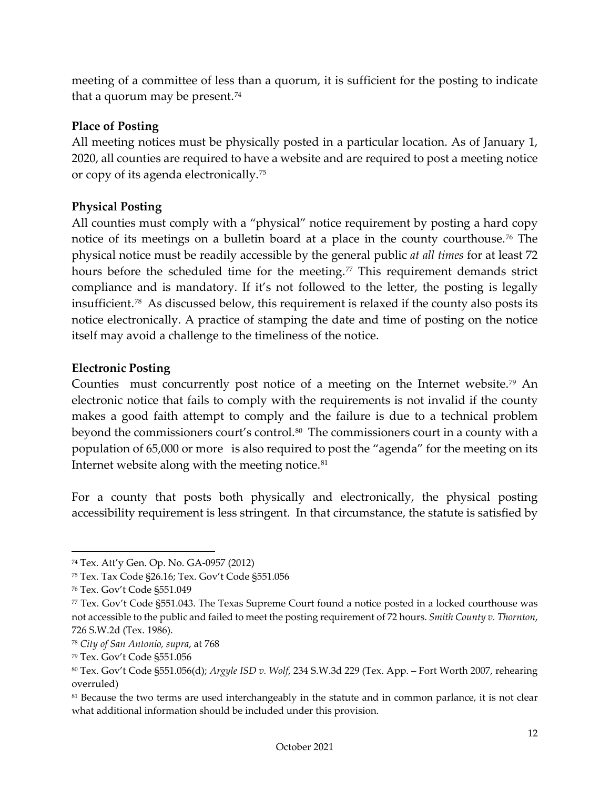meeting of a committee of less than a quorum, it is sufficient for the posting to indicate that a quorum may be present.<sup>[74](#page-14-3)</sup>

#### <span id="page-14-0"></span>**Place of Posting**

All meeting notices must be physically posted in a particular location. As of January 1, 2020, all counties are required to have a website and are required to post a meeting notice or copy of its agenda electronically.[75](#page-14-4)

#### <span id="page-14-1"></span>**Physical Posting**

All counties must comply with a "physical" notice requirement by posting a hard copy notice of its meetings on a bulletin board at a place in the county courthouse.<sup>[76](#page-14-5)</sup> The physical notice must be readily accessible by the general public *at all times* for at least 72 hours before the scheduled time for the meeting. $\frac{7}{7}$  This requirement demands strict compliance and is mandatory. If it's not followed to the letter, the posting is legally insufficient.[78](#page-14-7) As discussed below, this requirement is relaxed if the county also posts its notice electronically. A practice of stamping the date and time of posting on the notice itself may avoid a challenge to the timeliness of the notice.

#### <span id="page-14-2"></span>**Electronic Posting**

Counties must concurrently post notice of a meeting on the Internet website.<sup>[79](#page-14-8)</sup> An electronic notice that fails to comply with the requirements is not invalid if the county makes a good faith attempt to comply and the failure is due to a technical problem beyond the commissioners court's control.<sup>80</sup> The commissioners court in a county with a population of 65,000 or more is also required to post the "agenda" for the meeting on its Internet website along with the meeting notice.<sup>[81](#page-14-10)</sup>

For a county that posts both physically and electronically, the physical posting accessibility requirement is less stringent. In that circumstance, the statute is satisfied by

<span id="page-14-3"></span><sup>74</sup> Tex. Att'y Gen. Op. No. GA-0957 (2012)

<span id="page-14-4"></span><sup>75</sup> Tex. Tax Code §26.16; Tex. Gov't Code §551.056

<span id="page-14-5"></span><sup>76</sup> Tex. Gov't Code §551.049

<span id="page-14-6"></span><sup>77</sup> Tex. Gov't Code §551.043. The Texas Supreme Court found a notice posted in a locked courthouse was not accessible to the public and failed to meet the posting requirement of 72 hours. *Smith County v. Thornton*, 726 S.W.2d (Tex. 1986).

<span id="page-14-7"></span><sup>78</sup> *City of San Antonio, supra*, at 768

<span id="page-14-8"></span><sup>79</sup> Tex. Gov't Code §551.056

<span id="page-14-9"></span><sup>80</sup> Tex. Gov't Code §551.056(d); *Argyle ISD v. Wolf*, 234 S.W.3d 229 (Tex. App. – Fort Worth 2007, rehearing overruled)

<span id="page-14-10"></span><sup>&</sup>lt;sup>81</sup> Because the two terms are used interchangeably in the statute and in common parlance, it is not clear what additional information should be included under this provision.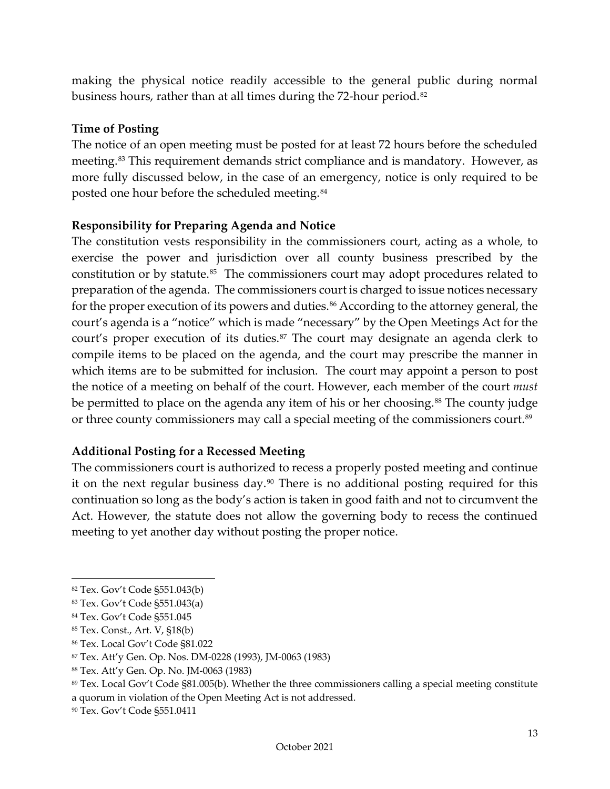making the physical notice readily accessible to the general public during normal business hours, rather than at all times during the 72-hour period.<sup>[82](#page-15-3)</sup>

#### <span id="page-15-0"></span>**Time of Posting**

The notice of an open meeting must be posted for at least 72 hours before the scheduled meeting.<sup>[83](#page-15-4)</sup> This requirement demands strict compliance and is mandatory. However, as more fully discussed below, in the case of an emergency, notice is only required to be posted one hour before the scheduled meeting.[84](#page-15-5)

#### <span id="page-15-1"></span>**Responsibility for Preparing Agenda and Notice**

The constitution vests responsibility in the commissioners court, acting as a whole, to exercise the power and jurisdiction over all county business prescribed by the constitution or by statute.<sup>85</sup> The commissioners court may adopt procedures related to preparation of the agenda. The commissioners court is charged to issue notices necessary for the proper execution of its powers and duties.<sup>[86](#page-15-7)</sup> According to the attorney general, the court's agenda is a "notice" which is made "necessary" by the Open Meetings Act for the court's proper execution of its duties.<sup>[87](#page-15-8)</sup> The court may designate an agenda clerk to compile items to be placed on the agenda, and the court may prescribe the manner in which items are to be submitted for inclusion. The court may appoint a person to post the notice of a meeting on behalf of the court. However, each member of the court *must* be permitted to place on the agenda any item of his or her choosing.<sup>[88](#page-15-9)</sup> The county judge or three county commissioners may call a special meeting of the commissioners court.<sup>[89](#page-15-10)</sup>

#### <span id="page-15-2"></span>**Additional Posting for a Recessed Meeting**

The commissioners court is authorized to recess a properly posted meeting and continue it on the next regular business day.[90](#page-15-11) There is no additional posting required for this continuation so long as the body's action is taken in good faith and not to circumvent the Act. However, the statute does not allow the governing body to recess the continued meeting to yet another day without posting the proper notice.

<span id="page-15-3"></span><sup>82</sup> Tex. Gov't Code §551.043(b)

<span id="page-15-4"></span><sup>83</sup> Tex. Gov't Code §551.043(a)

<span id="page-15-5"></span><sup>84</sup> Tex. Gov't Code §551.045

<span id="page-15-6"></span><sup>85</sup> Tex. Const., Art. V, §18(b)

<span id="page-15-7"></span><sup>86</sup> Tex. Local Gov't Code §81.022

<span id="page-15-8"></span><sup>87</sup> Tex. Att'y Gen. Op. Nos. DM-0228 (1993), JM-0063 (1983)

<span id="page-15-9"></span><sup>88</sup> Tex. Att'y Gen. Op. No. JM-0063 (1983)

<span id="page-15-10"></span><sup>89</sup> Tex. Local Gov't Code §81.005(b). Whether the three commissioners calling a special meeting constitute a quorum in violation of the Open Meeting Act is not addressed.

<span id="page-15-11"></span><sup>90</sup> Tex. Gov't Code §551.0411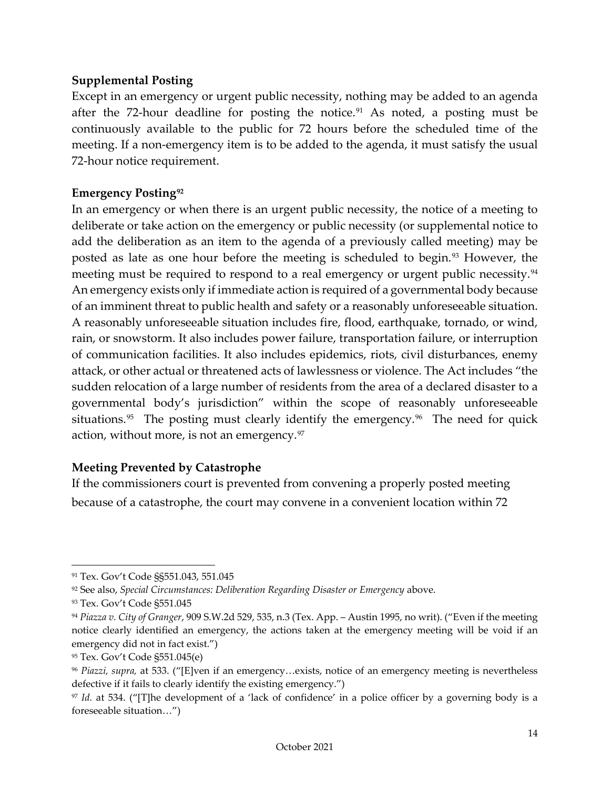#### <span id="page-16-0"></span>**Supplemental Posting**

Except in an emergency or urgent public necessity, nothing may be added to an agenda after the 72-hour deadline for posting the notice.<sup>[91](#page-16-3)</sup> As noted, a posting must be continuously available to the public for 72 hours before the scheduled time of the meeting. If a non-emergency item is to be added to the agenda, it must satisfy the usual 72-hour notice requirement.

#### <span id="page-16-1"></span>**Emergency Posting[92](#page-16-4)**

In an emergency or when there is an urgent public necessity, the notice of a meeting to deliberate or take action on the emergency or public necessity (or supplemental notice to add the deliberation as an item to the agenda of a previously called meeting) may be posted as late as one hour before the meeting is scheduled to begin.<sup>[93](#page-16-5)</sup> However, the meeting must be required to respond to a real emergency or urgent public necessity.<sup>[94](#page-16-6)</sup> An emergency exists only if immediate action is required of a governmental body because of an imminent threat to public health and safety or a reasonably unforeseeable situation. A reasonably unforeseeable situation includes fire, flood, earthquake, tornado, or wind, rain, or snowstorm. It also includes power failure, transportation failure, or interruption of communication facilities. It also includes epidemics, riots, civil disturbances, enemy attack, or other actual or threatened acts of lawlessness or violence. The Act includes "the sudden relocation of a large number of residents from the area of a declared disaster to a governmental body's jurisdiction" within the scope of reasonably unforeseeable situations.<sup>[95](#page-16-7)</sup> The posting must clearly identify the emergency.<sup>[96](#page-16-8)</sup> The need for quick action, without more, is not an emergency.[97](#page-16-9)

#### <span id="page-16-2"></span>**Meeting Prevented by Catastrophe**

If the commissioners court is prevented from convening a properly posted meeting because of a catastrophe, the court may convene in a convenient location within 72

<span id="page-16-3"></span><sup>91</sup> Tex. Gov't Code §§551.043, 551.045

<span id="page-16-4"></span><sup>92</sup> See also, *Special Circumstances: Deliberation Regarding Disaster or Emergency* above.

<span id="page-16-5"></span><sup>93</sup> Tex. Gov't Code §551.045

<span id="page-16-6"></span><sup>94</sup> *Piazza v. City of Granger*, 909 S.W.2d 529, 535, n.3 (Tex. App. – Austin 1995, no writ). ("Even if the meeting notice clearly identified an emergency, the actions taken at the emergency meeting will be void if an emergency did not in fact exist.")

<span id="page-16-7"></span><sup>95</sup> Tex. Gov't Code §551.045(e)

<span id="page-16-8"></span><sup>96</sup> *Piazzi, supra,* at 533. ("[E]ven if an emergency…exists, notice of an emergency meeting is nevertheless defective if it fails to clearly identify the existing emergency.")

<span id="page-16-9"></span><sup>97</sup> *Id.* at 534. ("[T]he development of a 'lack of confidence' in a police officer by a governing body is a foreseeable situation…")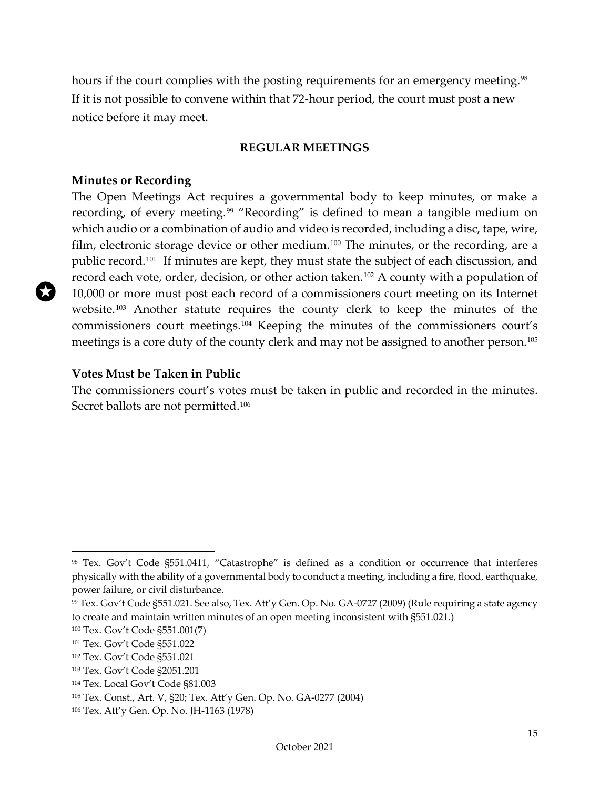hours if the court complies with the posting requirements for an emergency meeting.<sup>98</sup> If it is not possible to convene within that 72-hour period, the court must post a new notice before it may meet.

#### **REGULAR MEETINGS**

#### <span id="page-17-1"></span><span id="page-17-0"></span>**Minutes or Recording**

The Open Meetings Act requires a governmental body to keep minutes, or make a recording, of every meeting.<sup>[99](#page-17-4)</sup> "Recording" is defined to mean a tangible medium on which audio or a combination of audio and video is recorded, including a disc, tape, wire, film, electronic storage device or other medium.<sup>[100](#page-17-5)</sup> The minutes, or the recording, are a public record.[101](#page-17-6) If minutes are kept, they must state the subject of each discussion, and record each vote, order, decision, or other action taken.<sup>[102](#page-17-7)</sup> A county with a population of 10,000 or more must post each record of a commissioners court meeting on its Internet website.[103](#page-17-8) Another statute requires the county clerk to keep the minutes of the commissioners court meetings.[104](#page-17-9) Keeping the minutes of the commissioners court's meetings is a core duty of the county clerk and may not be assigned to another person.[105](#page-17-10)

#### <span id="page-17-2"></span>**Votes Must be Taken in Public**

The commissioners court's votes must be taken in public and recorded in the minutes. Secret ballots are not permitted.<sup>[106](#page-17-11)</sup>

<span id="page-17-3"></span><sup>98</sup> Tex. Gov't Code §551.0411, "Catastrophe" is defined as a condition or occurrence that interferes physically with the ability of a governmental body to conduct a meeting, including a fire, flood, earthquake, power failure, or civil disturbance.

<span id="page-17-4"></span><sup>99</sup> Tex. Gov't Code §551.021. See also, Tex. Att'y Gen. Op. No. GA-0727 (2009) (Rule requiring a state agency to create and maintain written minutes of an open meeting inconsistent with §551.021.)

<span id="page-17-5"></span><sup>100</sup> Tex. Gov't Code §551.001(7)

<span id="page-17-6"></span><sup>101</sup> Tex. Gov't Code §551.022

<span id="page-17-7"></span><sup>102</sup> Tex. Gov't Code §551.021

<span id="page-17-8"></span><sup>103</sup> Tex. Gov't Code §2051.201

<span id="page-17-9"></span><sup>104</sup> Tex. Local Gov't Code §81.003

<span id="page-17-10"></span><sup>105</sup> Tex. Const., Art. V, §20; Tex. Att'y Gen. Op. No. GA-0277 (2004)

<span id="page-17-11"></span><sup>106</sup> Tex. Att'y Gen. Op. No. JH-1163 (1978)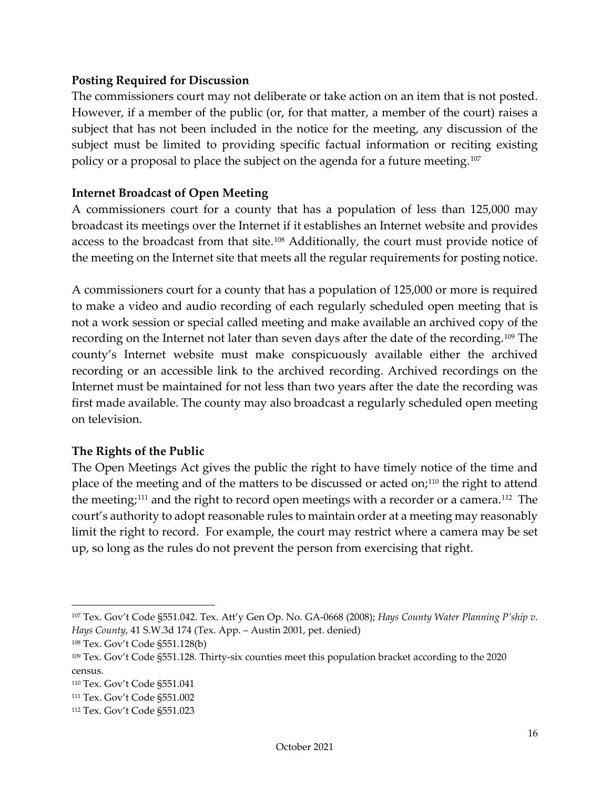#### <span id="page-18-0"></span>**Posting Required for Discussion**

The commissioners court may not deliberate or take action on an item that is not posted. However, if a member of the public (or, for that matter, a member of the court) raises a subject that has not been included in the notice for the meeting, any discussion of the subject must be limited to providing specific factual information or reciting existing policy or a proposal to place the subject on the agenda for a future meeting.[107](#page-18-3)

#### <span id="page-18-1"></span>**Internet Broadcast of Open Meeting**

A commissioners court for a county that has a population of less than 125,000 may broadcast its meetings over the Internet if it establishes an Internet website and provides access to the broadcast from that site.[108](#page-18-4) Additionally, the court must provide notice of the meeting on the Internet site that meets all the regular requirements for posting notice.

A commissioners court for a county that has a population of 125,000 or more is required to make a video and audio recording of each regularly scheduled open meeting that is not a work session or special called meeting and make available an archived copy of the recording on the Internet not later than seven days after the date of the recording.[109](#page-18-5) The county's Internet website must make conspicuously available either the archived recording or an accessible link to the archived recording. Archived recordings on the Internet must be maintained for not less than two years after the date the recording was first made available. The county may also broadcast a regularly scheduled open meeting on television.

#### <span id="page-18-2"></span>**The Rights of the Public**

The Open Meetings Act gives the public the right to have timely notice of the time and place of the meeting and of the matters to be discussed or acted on;[110](#page-18-6) the right to attend the meeting;<sup>[111](#page-18-7)</sup> and the right to record open meetings with a recorder or a camera.<sup>[112](#page-18-8)</sup> The court's authority to adopt reasonable rules to maintain order at a meeting may reasonably limit the right to record. For example, the court may restrict where a camera may be set up, so long as the rules do not prevent the person from exercising that right.

<span id="page-18-3"></span><sup>107</sup> Tex. Gov't Code §551.042. Tex. Att'y Gen Op. No. GA-0668 (2008); *Hays County Water Planning P'ship v. Hays County*, 41 S.W.3d 174 (Tex. App. – Austin 2001, pet. denied)

<span id="page-18-4"></span><sup>108</sup> Tex. Gov't Code §551.128(b)

<span id="page-18-5"></span><sup>109</sup> Tex. Gov't Code §551.128. Thirty-six counties meet this population bracket according to the 2020 census.

<span id="page-18-6"></span><sup>110</sup> Tex. Gov't Code §551.041

<span id="page-18-7"></span><sup>111</sup> Tex. Gov't Code §551.002

<span id="page-18-8"></span><sup>112</sup> Tex. Gov't Code §551.023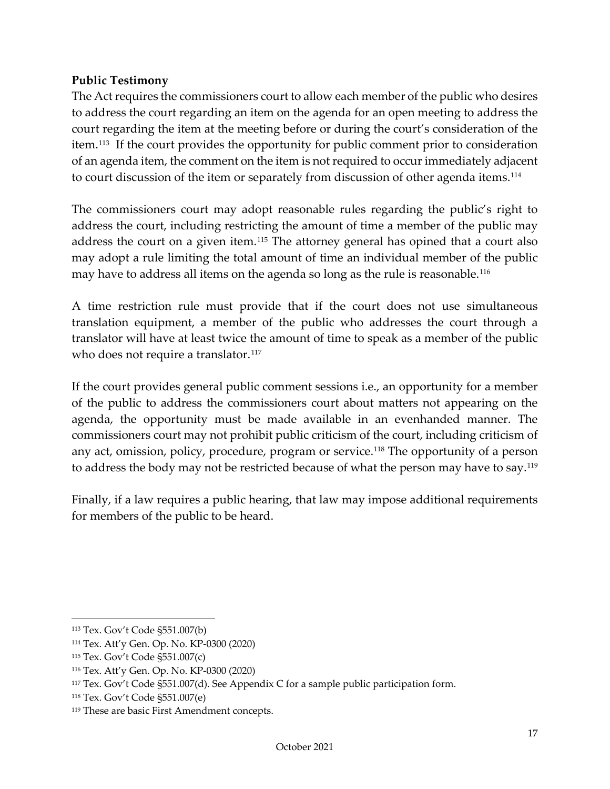#### <span id="page-19-0"></span>**Public Testimony**

The Act requires the commissioners court to allow each member of the public who desires to address the court regarding an item on the agenda for an open meeting to address the court regarding the item at the meeting before or during the court's consideration of the item.[113](#page-19-2) If the court provides the opportunity for public comment prior to consideration of an agenda item, the comment on the item is not required to occur immediately adjacent to court discussion of the item or separately from discussion of other agenda items.<sup>[114](#page-19-3)</sup>

The commissioners court may adopt reasonable rules regarding the public's right to address the court, including restricting the amount of time a member of the public may address the court on a given item.[115](#page-19-4) The attorney general has opined that a court also may adopt a rule limiting the total amount of time an individual member of the public may have to address all items on the agenda so long as the rule is reasonable.<sup>[116](#page-19-5)</sup>

A time restriction rule must provide that if the court does not use simultaneous translation equipment, a member of the public who addresses the court through a translator will have at least twice the amount of time to speak as a member of the public who does not require a translator.<sup>[117](#page-19-6)</sup>

If the court provides general public comment sessions i.e., an opportunity for a member of the public to address the commissioners court about matters not appearing on the agenda, the opportunity must be made available in an evenhanded manner. The commissioners court may not prohibit public criticism of the court, including criticism of any act, omission, policy, procedure, program or service.<sup>118</sup> The opportunity of a person to address the body may not be restricted because of what the person may have to say.<sup>[119](#page-19-8)</sup>

<span id="page-19-1"></span>Finally, if a law requires a public hearing, that law may impose additional requirements for members of the public to be heard.

<span id="page-19-2"></span><sup>113</sup> Tex. Gov't Code §551.007(b)

<span id="page-19-3"></span><sup>114</sup> Tex. Att'y Gen. Op. No. KP-0300 (2020)

<span id="page-19-4"></span><sup>115</sup> Tex. Gov't Code §551.007(c)

<span id="page-19-5"></span><sup>116</sup> Tex. Att'y Gen. Op. No. KP-0300 (2020)

<span id="page-19-6"></span><sup>117</sup> Tex. Gov't Code §551.007(d). See Appendix C for a sample public participation form.

<span id="page-19-7"></span><sup>118</sup> Tex. Gov't Code §551.007(e)

<span id="page-19-8"></span><sup>119</sup> These are basic First Amendment concepts.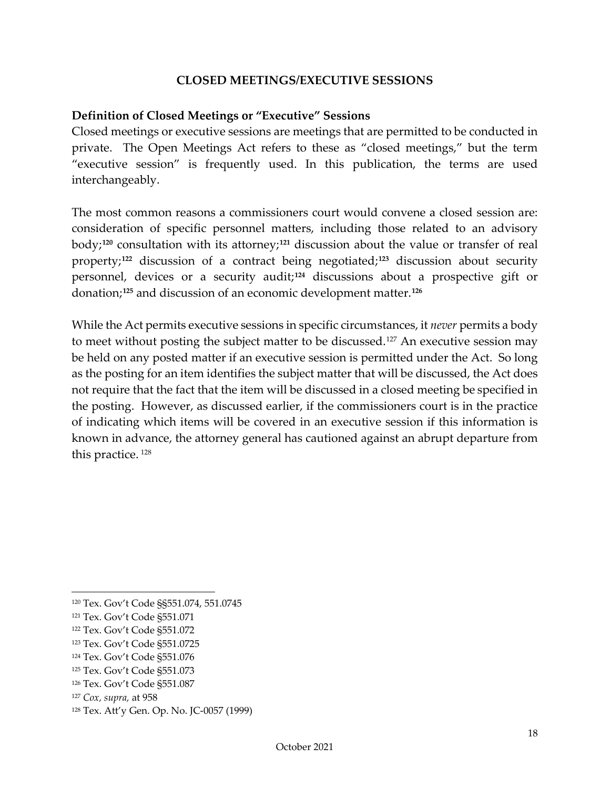#### **CLOSED MEETINGS/EXECUTIVE SESSIONS**

#### <span id="page-20-0"></span>**Definition of Closed Meetings or "Executive" Sessions**

Closed meetings or executive sessions are meetings that are permitted to be conducted in private. The Open Meetings Act refers to these as "closed meetings," but the term "executive session" is frequently used. In this publication, the terms are used interchangeably.

The most common reasons a commissioners court would convene a closed session are: consideration of specific personnel matters, including those related to an advisory body;**[120](#page-20-2)** consultation with its attorney;**[121](#page-20-3)** discussion about the value or transfer of real property;**[122](#page-20-4)** discussion of a contract being negotiated;**[123](#page-20-5)** discussion about security personnel, devices or a security audit;**[124](#page-20-6)** discussions about a prospective gift or donation;**[125](#page-20-7)** and discussion of an economic development matter.**[126](#page-20-8)**

While the Act permits executive sessions in specific circumstances, it *never* permits a body to meet without posting the subject matter to be discussed.<sup>[127](#page-20-9)</sup> An executive session may be held on any posted matter if an executive session is permitted under the Act. So long as the posting for an item identifies the subject matter that will be discussed, the Act does not require that the fact that the item will be discussed in a closed meeting be specified in the posting. However, as discussed earlier, if the commissioners court is in the practice of indicating which items will be covered in an executive session if this information is known in advance, the attorney general has cautioned against an abrupt departure from this practice. [128](#page-20-10)

- <span id="page-20-5"></span><sup>123</sup> Tex. Gov't Code §551.0725
- <span id="page-20-6"></span><sup>124</sup> Tex. Gov't Code §551.076

<span id="page-20-8"></span><sup>126</sup> Tex. Gov't Code §551.087

<span id="page-20-2"></span><span id="page-20-1"></span><sup>120</sup> Tex. Gov't Code §§551.074, 551.0745

<span id="page-20-3"></span><sup>121</sup> Tex. Gov't Code §551.071

<span id="page-20-4"></span><sup>122</sup> Tex. Gov't Code §551.072

<span id="page-20-7"></span><sup>125</sup> Tex. Gov't Code §551.073

<span id="page-20-9"></span><sup>127</sup> *Cox, supra,* at 958

<span id="page-20-10"></span><sup>128</sup> Tex. Att'y Gen. Op. No. JC-0057 (1999)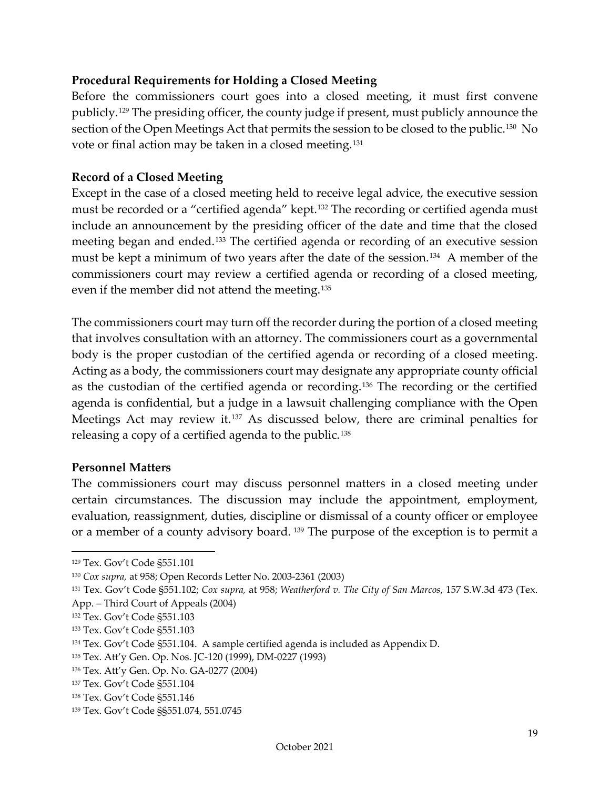#### **Procedural Requirements for Holding a Closed Meeting**

Before the commissioners court goes into a closed meeting, it must first convene publicly.[129](#page-21-2) The presiding officer, the county judge if present, must publicly announce the section of the Open Meetings Act that permits the session to be closed to the public.<sup>130</sup> No vote or final action may be taken in a closed meeting.<sup>[131](#page-21-4)</sup>

#### <span id="page-21-0"></span>**Record of a Closed Meeting**

Except in the case of a closed meeting held to receive legal advice, the executive session must be recorded or a "certified agenda" kept.<sup>[132](#page-21-5)</sup> The recording or certified agenda must include an announcement by the presiding officer of the date and time that the closed meeting began and ended.[133](#page-21-6) The certified agenda or recording of an executive session must be kept a minimum of two years after the date of the session.[134](#page-21-7) A member of the commissioners court may review a certified agenda or recording of a closed meeting, even if the member did not attend the meeting.<sup>[135](#page-21-8)</sup>

The commissioners court may turn off the recorder during the portion of a closed meeting that involves consultation with an attorney. The commissioners court as a governmental body is the proper custodian of the certified agenda or recording of a closed meeting. Acting as a body, the commissioners court may designate any appropriate county official as the custodian of the certified agenda or recording.[136](#page-21-9) The recording or the certified agenda is confidential, but a judge in a lawsuit challenging compliance with the Open Meetings Act may review it.[137](#page-21-10) As discussed below, there are criminal penalties for releasing a copy of a certified agenda to the public.<sup>[138](#page-21-11)</sup>

#### <span id="page-21-1"></span>**Personnel Matters**

The commissioners court may discuss personnel matters in a closed meeting under certain circumstances. The discussion may include the appointment, employment, evaluation, reassignment, duties, discipline or dismissal of a county officer or employee or a member of a county advisory board. [139](#page-21-12) The purpose of the exception is to permit a

<span id="page-21-2"></span><sup>129</sup> Tex. Gov't Code §551.101

<span id="page-21-3"></span><sup>130</sup> *Cox supra,* at 958; Open Records Letter No. 2003-2361 (2003)

<span id="page-21-4"></span><sup>131</sup> Tex. Gov't Code §551.102; *Cox supra,* at 958; *Weatherford v. The City of San Marcos*, 157 S.W.3d 473 (Tex. App. – Third Court of Appeals (2004)

<span id="page-21-5"></span><sup>132</sup> Tex. Gov't Code §551.103

<span id="page-21-6"></span><sup>133</sup> Tex. Gov't Code §551.103

<span id="page-21-7"></span><sup>134</sup> Tex. Gov't Code §551.104. A sample certified agenda is included as Appendix D.

<span id="page-21-8"></span><sup>135</sup> Tex. Att'y Gen. Op. Nos. JC-120 (1999), DM-0227 (1993)

<span id="page-21-9"></span><sup>136</sup> Tex. Att'y Gen. Op. No. GA-0277 (2004)

<span id="page-21-10"></span><sup>137</sup> Tex. Gov't Code §551.104

<span id="page-21-11"></span><sup>138</sup> Tex. Gov't Code §551.146

<span id="page-21-12"></span><sup>139</sup> Tex. Gov't Code §§551.074, 551.0745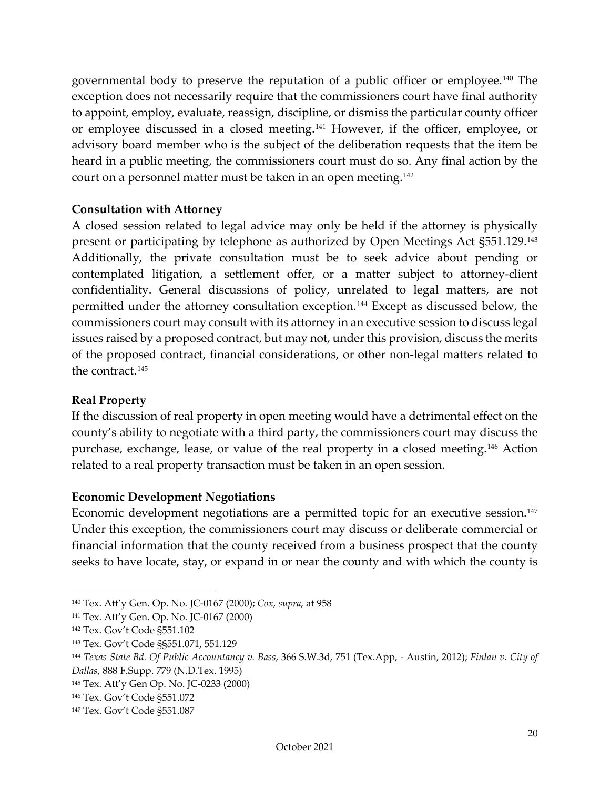governmental body to preserve the reputation of a public officer or employee.[140](#page-22-3) The exception does not necessarily require that the commissioners court have final authority to appoint, employ, evaluate, reassign, discipline, or dismiss the particular county officer or employee discussed in a closed meeting.[141](#page-22-4) However, if the officer, employee, or advisory board member who is the subject of the deliberation requests that the item be heard in a public meeting, the commissioners court must do so. Any final action by the court on a personnel matter must be taken in an open meeting.[142](#page-22-5)

#### <span id="page-22-0"></span>**Consultation with Attorney**

A closed session related to legal advice may only be held if the attorney is physically present or participating by telephone as authorized by Open Meetings Act §551.129.[143](#page-22-6) Additionally, the private consultation must be to seek advice about pending or contemplated litigation, a settlement offer, or a matter subject to attorney-client confidentiality. General discussions of policy, unrelated to legal matters, are not permitted under the attorney consultation exception.[144](#page-22-7) Except as discussed below, the commissioners court may consult with its attorney in an executive session to discuss legal issues raised by a proposed contract, but may not, under this provision, discuss the merits of the proposed contract, financial considerations, or other non-legal matters related to the contract.<sup>[145](#page-22-8)</sup>

#### <span id="page-22-1"></span>**Real Property**

If the discussion of real property in open meeting would have a detrimental effect on the county's ability to negotiate with a third party, the commissioners court may discuss the purchase, exchange, lease, or value of the real property in a closed meeting.[146](#page-22-9) Action related to a real property transaction must be taken in an open session.

#### <span id="page-22-2"></span>**Economic Development Negotiations**

Economic development negotiations are a permitted topic for an executive session.<sup>[147](#page-22-10)</sup> Under this exception, the commissioners court may discuss or deliberate commercial or financial information that the county received from a business prospect that the county seeks to have locate, stay, or expand in or near the county and with which the county is

<span id="page-22-3"></span><sup>140</sup> Tex. Att'y Gen. Op. No. JC-0167 (2000); *Cox, supra,* at 958

<span id="page-22-4"></span><sup>141</sup> Tex. Att'y Gen. Op. No. JC-0167 (2000)

<span id="page-22-5"></span><sup>142</sup> Tex. Gov't Code §551.102

<span id="page-22-6"></span><sup>143</sup> Tex. Gov't Code §§551.071, 551.129

<span id="page-22-7"></span><sup>144</sup> *Texas State Bd. Of Public Accountancy v. Bass*, 366 S.W.3d, 751 (Tex.App, - Austin, 2012); *Finlan v. City of Dallas*, 888 F.Supp. 779 (N.D.Tex. 1995)

<span id="page-22-8"></span><sup>145</sup> Tex. Att'y Gen Op. No. JC-0233 (2000)

<span id="page-22-9"></span><sup>146</sup> Tex. Gov't Code §551.072

<span id="page-22-10"></span><sup>147</sup> Tex. Gov't Code §551.087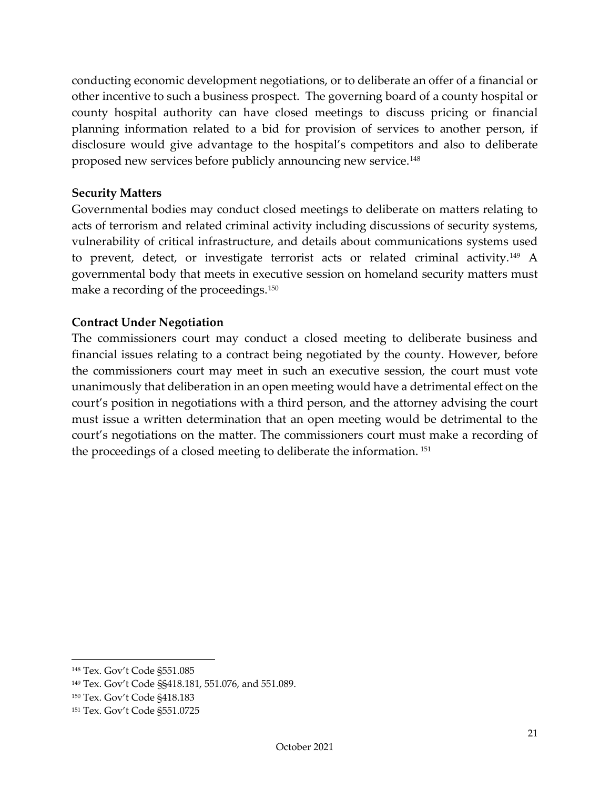conducting economic development negotiations, or to deliberate an offer of a financial or other incentive to such a business prospect. The governing board of a county hospital or county hospital authority can have closed meetings to discuss pricing or financial planning information related to a bid for provision of services to another person, if disclosure would give advantage to the hospital's competitors and also to deliberate proposed new services before publicly announcing new service.[148](#page-23-3)

#### <span id="page-23-0"></span>**Security Matters**

Governmental bodies may conduct closed meetings to deliberate on matters relating to acts of terrorism and related criminal activity including discussions of security systems, vulnerability of critical infrastructure, and details about communications systems used to prevent, detect, or investigate terrorist acts or related criminal activity.[149](#page-23-4) A governmental body that meets in executive session on homeland security matters must make a recording of the proceedings.[150](#page-23-5)

#### <span id="page-23-1"></span>**Contract Under Negotiation**

<span id="page-23-2"></span>The commissioners court may conduct a closed meeting to deliberate business and financial issues relating to a contract being negotiated by the county. However, before the commissioners court may meet in such an executive session, the court must vote unanimously that deliberation in an open meeting would have a detrimental effect on the court's position in negotiations with a third person, and the attorney advising the court must issue a written determination that an open meeting would be detrimental to the court's negotiations on the matter. The commissioners court must make a recording of the proceedings of a closed meeting to deliberate the information. [151](#page-23-6)

<span id="page-23-3"></span><sup>148</sup> Tex. Gov't Code §551.085

<span id="page-23-4"></span><sup>149</sup> Tex. Gov't Code §§418.181, 551.076, and 551.089.

<span id="page-23-5"></span><sup>150</sup> Tex. Gov't Code §418.183

<span id="page-23-6"></span><sup>151</sup> Tex. Gov't Code §551.0725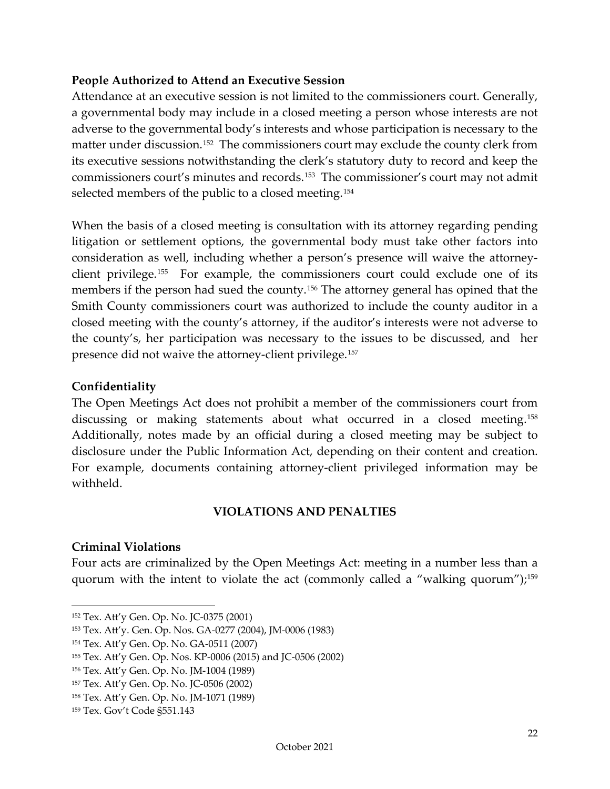#### **People Authorized to Attend an Executive Session**

Attendance at an executive session is not limited to the commissioners court. Generally, a governmental body may include in a closed meeting a person whose interests are not adverse to the governmental body's interests and whose participation is necessary to the matter under discussion.[152](#page-24-3) The commissioners court may exclude the county clerk from its executive sessions notwithstanding the clerk's statutory duty to record and keep the commissioners court's minutes and records.[153](#page-24-4) The commissioner's court may not admit selected members of the public to a closed meeting.<sup>[154](#page-24-5)</sup>

When the basis of a closed meeting is consultation with its attorney regarding pending litigation or settlement options, the governmental body must take other factors into consideration as well, including whether a person's presence will waive the attorneyclient privilege.[155](#page-24-6) For example, the commissioners court could exclude one of its members if the person had sued the county.<sup>[156](#page-24-7)</sup> The attorney general has opined that the Smith County commissioners court was authorized to include the county auditor in a closed meeting with the county's attorney, if the auditor's interests were not adverse to the county's, her participation was necessary to the issues to be discussed, and her presence did not waive the attorney-client privilege.[157](#page-24-8)

#### <span id="page-24-0"></span>**Confidentiality**

The Open Meetings Act does not prohibit a member of the commissioners court from discussing or making statements about what occurred in a closed meeting.<sup>[158](#page-24-9)</sup> Additionally, notes made by an official during a closed meeting may be subject to disclosure under the Public Information Act, depending on their content and creation. For example, documents containing attorney-client privileged information may be withheld.

#### **VIOLATIONS AND PENALTIES**

#### <span id="page-24-2"></span><span id="page-24-1"></span>**Criminal Violations**

Four acts are criminalized by the Open Meetings Act: meeting in a number less than a quorum with the intent to violate the act (commonly called a "walking quorum");<sup>159</sup>

<span id="page-24-3"></span><sup>152</sup> Tex. Att'y Gen. Op. No. JC-0375 (2001)

<span id="page-24-4"></span><sup>153</sup> Tex. Att'y. Gen. Op. Nos. GA-0277 (2004), JM-0006 (1983)

<span id="page-24-5"></span><sup>154</sup> Tex. Att'y Gen. Op. No. GA-0511 (2007)

<span id="page-24-6"></span><sup>155</sup> Tex. Att'y Gen. Op. Nos. KP-0006 (2015) and JC-0506 (2002)

<span id="page-24-7"></span><sup>156</sup> Tex. Att'y Gen. Op. No. JM-1004 (1989)

<span id="page-24-8"></span><sup>157</sup> Tex. Att'y Gen. Op. No. JC-0506 (2002)

<span id="page-24-9"></span><sup>158</sup> Tex. Att'y Gen. Op. No. JM-1071 (1989)

<span id="page-24-10"></span><sup>159</sup> Tex. Gov't Code §551.143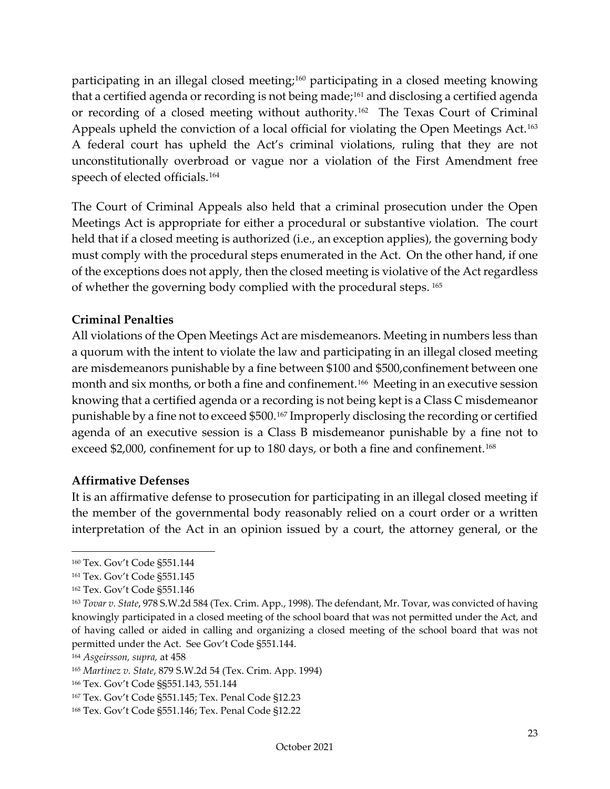participating in an illegal closed meeting;[160](#page-25-2) participating in a closed meeting knowing that a certified agenda or recording is not being made;<sup>[161](#page-25-3)</sup> and disclosing a certified agenda or recording of a closed meeting without authority.[162](#page-25-4) The Texas Court of Criminal Appeals upheld the conviction of a local official for violating the Open Meetings Act.<sup>[163](#page-25-5)</sup> A federal court has upheld the Act's criminal violations, ruling that they are not unconstitutionally overbroad or vague nor a violation of the First Amendment free speech of elected officials.[164](#page-25-6)

The Court of Criminal Appeals also held that a criminal prosecution under the Open Meetings Act is appropriate for either a procedural or substantive violation. The court held that if a closed meeting is authorized (i.e., an exception applies), the governing body must comply with the procedural steps enumerated in the Act. On the other hand, if one of the exceptions does not apply, then the closed meeting is violative of the Act regardless of whether the governing body complied with the procedural steps. [165](#page-25-7)

#### <span id="page-25-0"></span>**Criminal Penalties**

All violations of the Open Meetings Act are misdemeanors. Meeting in numbers less than a quorum with the intent to violate the law and participating in an illegal closed meeting are misdemeanors punishable by a fine between \$100 and \$500,confinement between one month and six months, or both a fine and confinement.<sup>166</sup> Meeting in an executive session knowing that a certified agenda or a recording is not being kept is a Class C misdemeanor punishable by a fine not to exceed \$500.[167](#page-25-9) Improperly disclosing the recording or certified agenda of an executive session is a Class B misdemeanor punishable by a fine not to exceed \$2,000, confinement for up to 180 days, or both a fine and confinement.<sup>[168](#page-25-10)</sup>

#### <span id="page-25-1"></span>**Affirmative Defenses**

It is an affirmative defense to prosecution for participating in an illegal closed meeting if the member of the governmental body reasonably relied on a court order or a written interpretation of the Act in an opinion issued by a court, the attorney general, or the

<span id="page-25-2"></span><sup>160</sup> Tex. Gov't Code §551.144

<span id="page-25-3"></span><sup>161</sup> Tex. Gov't Code §551.145

<span id="page-25-4"></span><sup>162</sup> Tex. Gov't Code §551.146

<span id="page-25-5"></span><sup>163</sup> *Tovar v. State*, 978 S.W.2d 584 (Tex. Crim. App., 1998). The defendant, Mr. Tovar, was convicted of having knowingly participated in a closed meeting of the school board that was not permitted under the Act, and of having called or aided in calling and organizing a closed meeting of the school board that was not permitted under the Act. See Gov't Code §551.144.

<span id="page-25-6"></span><sup>164</sup> *Asgeirsson, supra,* at 458

<span id="page-25-7"></span><sup>165</sup> *Martinez v. State*, 879 S.W.2d 54 (Tex. Crim. App. 1994)

<span id="page-25-8"></span><sup>166</sup> Tex. Gov't Code §§551.143, 551.144

<span id="page-25-9"></span><sup>167</sup> Tex. Gov't Code §551.145; Tex. Penal Code §12.23

<span id="page-25-10"></span><sup>168</sup> Tex. Gov't Code §551.146; Tex. Penal Code §12.22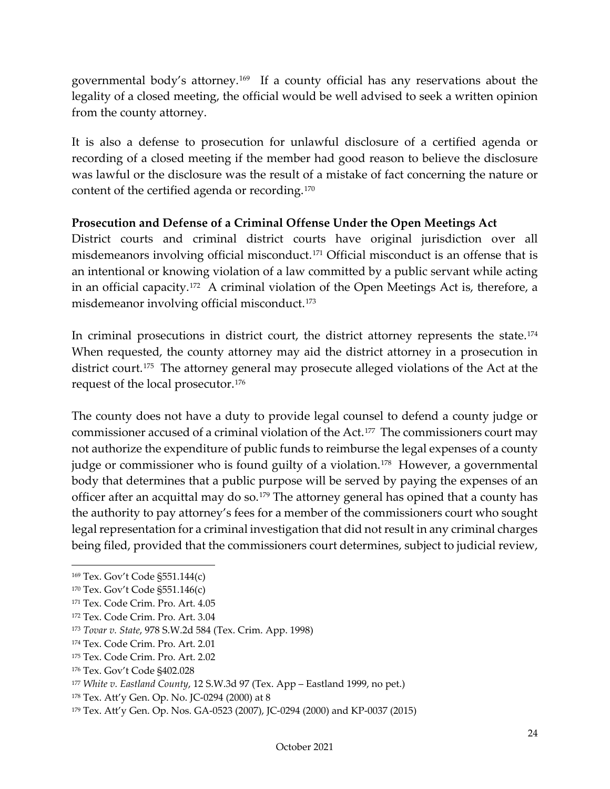governmental body's attorney.[169](#page-26-1) If a county official has any reservations about the legality of a closed meeting, the official would be well advised to seek a written opinion from the county attorney.

It is also a defense to prosecution for unlawful disclosure of a certified agenda or recording of a closed meeting if the member had good reason to believe the disclosure was lawful or the disclosure was the result of a mistake of fact concerning the nature or content of the certified agenda or recording.[170](#page-26-2)

#### <span id="page-26-0"></span>**Prosecution and Defense of a Criminal Offense Under the Open Meetings Act**

District courts and criminal district courts have original jurisdiction over all misdemeanors involving official misconduct.[171](#page-26-3) Official misconduct is an offense that is an intentional or knowing violation of a law committed by a public servant while acting in an official capacity.[172](#page-26-4) A criminal violation of the Open Meetings Act is, therefore, a misdemeanor involving official misconduct.<sup>[173](#page-26-5)</sup>

In criminal prosecutions in district court, the district attorney represents the state.<sup>[174](#page-26-6)</sup> When requested, the county attorney may aid the district attorney in a prosecution in district court.<sup>175</sup> The attorney general may prosecute alleged violations of the Act at the request of the local prosecutor.[176](#page-26-8)

The county does not have a duty to provide legal counsel to defend a county judge or commissioner accused of a criminal violation of the Act.[177](#page-26-9) The commissioners court may not authorize the expenditure of public funds to reimburse the legal expenses of a county judge or commissioner who is found guilty of a violation.<sup>[178](#page-26-10)</sup> However, a governmental body that determines that a public purpose will be served by paying the expenses of an officer after an acquittal may do so.<sup>[179](#page-26-11)</sup> The attorney general has opined that a county has the authority to pay attorney's fees for a member of the commissioners court who sought legal representation for a criminal investigation that did not result in any criminal charges being filed, provided that the commissioners court determines, subject to judicial review,

<span id="page-26-1"></span><sup>169</sup> Tex. Gov't Code §551.144(c)

<span id="page-26-2"></span><sup>170</sup> Tex. Gov't Code §551.146(c)

<span id="page-26-3"></span><sup>171</sup> Tex. Code Crim. Pro. Art. 4.05

<span id="page-26-4"></span><sup>172</sup> Tex. Code Crim. Pro. Art. 3.04

<span id="page-26-5"></span><sup>173</sup> *Tovar v. State*, 978 S.W.2d 584 (Tex. Crim. App. 1998)

<span id="page-26-6"></span><sup>174</sup> Tex. Code Crim. Pro. Art. 2.01

<span id="page-26-7"></span><sup>175</sup> Tex. Code Crim. Pro. Art. 2.02

<span id="page-26-8"></span><sup>176</sup> Tex. Gov't Code §402.028

<span id="page-26-9"></span><sup>177</sup> *White v. Eastland County*, 12 S.W.3d 97 (Tex. App – Eastland 1999, no pet.)

<span id="page-26-10"></span><sup>178</sup> Tex. Att'y Gen. Op. No. JC-0294 (2000) at 8

<span id="page-26-11"></span><sup>179</sup> Tex. Att'y Gen. Op. Nos. GA-0523 (2007), JC-0294 (2000) and KP-0037 (2015)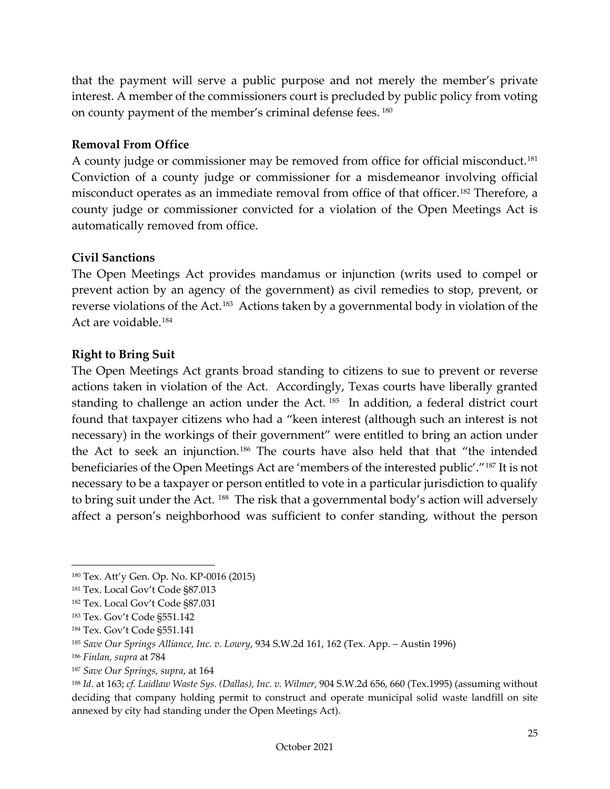that the payment will serve a public purpose and not merely the member's private interest. A member of the commissioners court is precluded by public policy from voting on county payment of the member's criminal defense fees. [180](#page-27-3)

#### <span id="page-27-0"></span>**Removal From Office**

A county judge or commissioner may be removed from office for official misconduct.<sup>[181](#page-27-4)</sup> Conviction of a county judge or commissioner for a misdemeanor involving official misconduct operates as an immediate removal from office of that officer.[182](#page-27-5) Therefore, a county judge or commissioner convicted for a violation of the Open Meetings Act is automatically removed from office.

#### <span id="page-27-1"></span>**Civil Sanctions**

The Open Meetings Act provides mandamus or injunction (writs used to compel or prevent action by an agency of the government) as civil remedies to stop, prevent, or reverse violations of the Act.[183](#page-27-6) Actions taken by a governmental body in violation of the Act are voidable.[184](#page-27-7)

#### <span id="page-27-2"></span>**Right to Bring Suit**

The Open Meetings Act grants broad standing to citizens to sue to prevent or reverse actions taken in violation of the Act. Accordingly, Texas courts have liberally granted standing to challenge an action under the Act.<sup>185</sup> In addition, a federal district court found that taxpayer citizens who had a "keen interest (although such an interest is not necessary) in the workings of their government" were entitled to bring an action under the Act to seek an injunction.[186](#page-27-9) The courts have also held that that "the intended beneficiaries of the Open Meetings Act are 'members of the interested public'."[187](#page-27-10) It is not necessary to be a taxpayer or person entitled to vote in a particular jurisdiction to qualify to bring suit under the Act. [188](#page-27-11) The risk that a governmental body's action will adversely affect a person's neighborhood was sufficient to confer standing, without the person

<span id="page-27-3"></span><sup>180</sup> Tex. Att'y Gen. Op. No. KP-0016 (2015)

<span id="page-27-4"></span><sup>181</sup> Tex. Local Gov't Code §87.013

<span id="page-27-5"></span><sup>182</sup> Tex. Local Gov't Code §87.031

<span id="page-27-6"></span><sup>183</sup> Tex. Gov't Code §551.142

<span id="page-27-7"></span><sup>184</sup> Tex. Gov't Code §551.141

<span id="page-27-8"></span><sup>185</sup> *Save Our Springs Alliance, Inc. v. Lowry*, 934 S.W.2d 161, 162 (Tex. App. – Austin 1996)

<span id="page-27-9"></span><sup>186</sup> *Finlan, supra* at 784

<span id="page-27-10"></span><sup>187</sup> *Save Our Springs, supra*, at 164

<span id="page-27-11"></span><sup>188</sup> *Id*. at 163; *cf. Laidlaw Waste Sys. (Dallas), Inc. v. Wilmer*, 904 S.W.2d 656, 660 (Tex.1995) (assuming without deciding that company holding permit to construct and operate municipal solid waste landfill on site annexed by city had standing under the Open Meetings Act).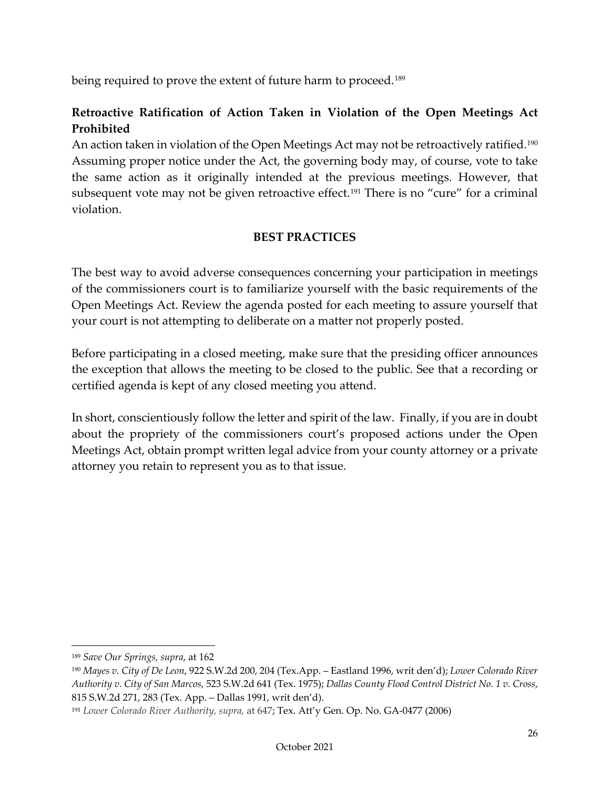being required to prove the extent of future harm to proceed.<sup>[189](#page-28-2)</sup>

# <span id="page-28-0"></span>**Retroactive Ratification of Action Taken in Violation of the Open Meetings Act Prohibited**

An action taken in violation of the Open Meetings Act may not be retroactively ratified.<sup>[190](#page-28-3)</sup> Assuming proper notice under the Act, the governing body may, of course, vote to take the same action as it originally intended at the previous meetings. However, that subsequent vote may not be given retroactive effect.<sup>[191](#page-28-4)</sup> There is no "cure" for a criminal violation.

#### **BEST PRACTICES**

<span id="page-28-1"></span>The best way to avoid adverse consequences concerning your participation in meetings of the commissioners court is to familiarize yourself with the basic requirements of the Open Meetings Act. Review the agenda posted for each meeting to assure yourself that your court is not attempting to deliberate on a matter not properly posted.

Before participating in a closed meeting, make sure that the presiding officer announces the exception that allows the meeting to be closed to the public. See that a recording or certified agenda is kept of any closed meeting you attend.

In short, conscientiously follow the letter and spirit of the law. Finally, if you are in doubt about the propriety of the commissioners court's proposed actions under the Open Meetings Act, obtain prompt written legal advice from your county attorney or a private attorney you retain to represent you as to that issue.

<span id="page-28-2"></span><sup>189</sup> *Save Our Springs, supra*, at 162

<span id="page-28-3"></span><sup>190</sup> *Mayes v. City of De Leon*, 922 S.W.2d 200, 204 (Tex.App. – Eastland 1996, writ den'd); *Lower Colorado River Authority v. City of San Marcos*, 523 S.W.2d 641 (Tex. 1975); *Dallas County Flood Control District No. 1 v. Cross*, 815 S.W.2d 271, 283 (Tex. App. – Dallas 1991, writ den'd).

<span id="page-28-4"></span><sup>191</sup> *Lower Colorado River Authority, supra,* at 647; Tex. Att'y Gen. Op. No. GA-0477 (2006)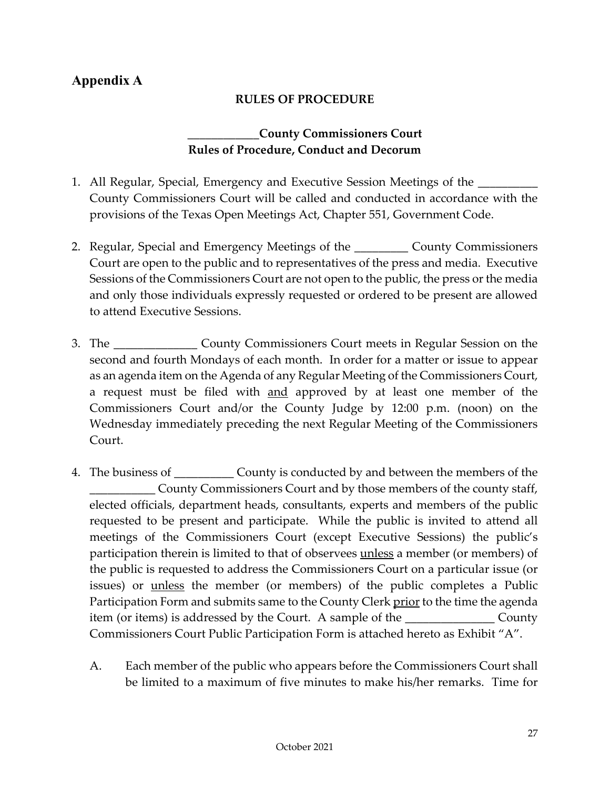# <span id="page-29-0"></span>**Appendix A**

#### **RULES OF PROCEDURE**

#### **\_\_\_\_\_\_\_\_\_\_\_\_County Commissioners Court Rules of Procedure, Conduct and Decorum**

- 1. All Regular, Special, Emergency and Executive Session Meetings of the \_\_\_\_\_\_\_\_\_\_ County Commissioners Court will be called and conducted in accordance with the provisions of the Texas Open Meetings Act, Chapter 551, Government Code.
- 2. Regular, Special and Emergency Meetings of the \_\_\_\_\_\_\_\_\_ County Commissioners Court are open to the public and to representatives of the press and media. Executive Sessions of the Commissioners Court are not open to the public, the press or the media and only those individuals expressly requested or ordered to be present are allowed to attend Executive Sessions.
- 3. The \_\_\_\_\_\_\_\_\_\_\_\_\_\_ County Commissioners Court meets in Regular Session on the second and fourth Mondays of each month. In order for a matter or issue to appear as an agenda item on the Agenda of any Regular Meeting of the Commissioners Court, a request must be filed with and approved by at least one member of the Commissioners Court and/or the County Judge by 12:00 p.m. (noon) on the Wednesday immediately preceding the next Regular Meeting of the Commissioners Court.
- 4. The business of \_\_\_\_\_\_\_\_\_\_ County is conducted by and between the members of the County Commissioners Court and by those members of the county staff, elected officials, department heads, consultants, experts and members of the public requested to be present and participate. While the public is invited to attend all meetings of the Commissioners Court (except Executive Sessions) the public's participation therein is limited to that of observees unless a member (or members) of the public is requested to address the Commissioners Court on a particular issue (or issues) or *unless* the member (or members) of the public completes a Public Participation Form and submits same to the County Clerk prior to the time the agenda item (or items) is addressed by the Court. A sample of the \_\_\_\_\_\_\_\_\_\_\_\_\_\_\_ County Commissioners Court Public Participation Form is attached hereto as Exhibit "A".
	- A. Each member of the public who appears before the Commissioners Court shall be limited to a maximum of five minutes to make his/her remarks. Time for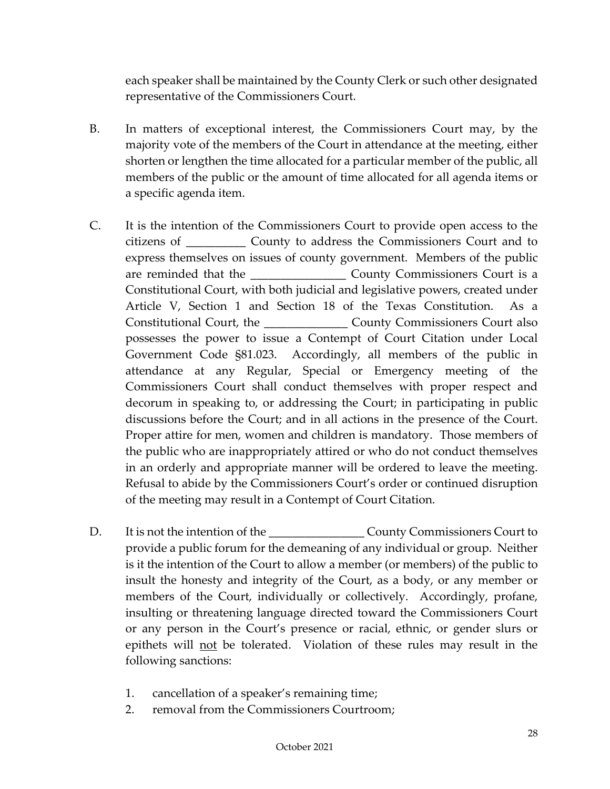each speaker shall be maintained by the County Clerk or such other designated representative of the Commissioners Court.

- B. In matters of exceptional interest, the Commissioners Court may, by the majority vote of the members of the Court in attendance at the meeting, either shorten or lengthen the time allocated for a particular member of the public, all members of the public or the amount of time allocated for all agenda items or a specific agenda item.
- C. It is the intention of the Commissioners Court to provide open access to the citizens of \_\_\_\_\_\_\_\_\_\_ County to address the Commissioners Court and to express themselves on issues of county government. Members of the public are reminded that the County Commissioners Court is a Constitutional Court, with both judicial and legislative powers, created under Article V, Section 1 and Section 18 of the Texas Constitution. As a Constitutional Court, the \_\_\_\_\_\_\_\_\_\_\_\_\_\_ County Commissioners Court also possesses the power to issue a Contempt of Court Citation under Local Government Code §81.023. Accordingly, all members of the public in attendance at any Regular, Special or Emergency meeting of the Commissioners Court shall conduct themselves with proper respect and decorum in speaking to, or addressing the Court; in participating in public discussions before the Court; and in all actions in the presence of the Court. Proper attire for men, women and children is mandatory. Those members of the public who are inappropriately attired or who do not conduct themselves in an orderly and appropriate manner will be ordered to leave the meeting. Refusal to abide by the Commissioners Court's order or continued disruption of the meeting may result in a Contempt of Court Citation.
- D. It is not the intention of the **County County Commissioners Court to** provide a public forum for the demeaning of any individual or group. Neither is it the intention of the Court to allow a member (or members) of the public to insult the honesty and integrity of the Court, as a body, or any member or members of the Court, individually or collectively. Accordingly, profane, insulting or threatening language directed toward the Commissioners Court or any person in the Court's presence or racial, ethnic, or gender slurs or epithets will not be tolerated. Violation of these rules may result in the following sanctions:
	- 1. cancellation of a speaker's remaining time;
	- 2. removal from the Commissioners Courtroom;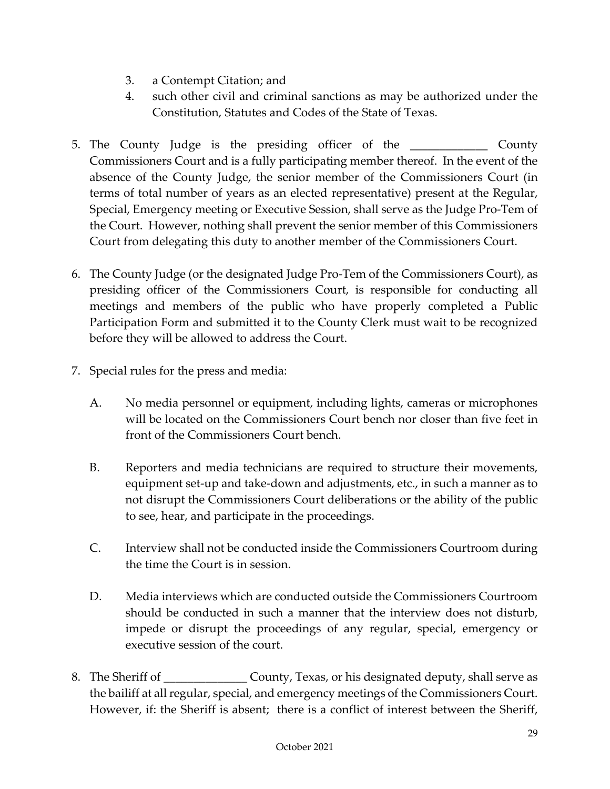- 3. a Contempt Citation; and
- 4. such other civil and criminal sanctions as may be authorized under the Constitution, Statutes and Codes of the State of Texas.
- 5. The County Judge is the presiding officer of the \_\_\_\_\_\_\_\_\_\_\_\_\_ County Commissioners Court and is a fully participating member thereof. In the event of the absence of the County Judge, the senior member of the Commissioners Court (in terms of total number of years as an elected representative) present at the Regular, Special, Emergency meeting or Executive Session, shall serve as the Judge Pro-Tem of the Court. However, nothing shall prevent the senior member of this Commissioners Court from delegating this duty to another member of the Commissioners Court.
- 6. The County Judge (or the designated Judge Pro-Tem of the Commissioners Court), as presiding officer of the Commissioners Court, is responsible for conducting all meetings and members of the public who have properly completed a Public Participation Form and submitted it to the County Clerk must wait to be recognized before they will be allowed to address the Court.
- 7. Special rules for the press and media:
	- A. No media personnel or equipment, including lights, cameras or microphones will be located on the Commissioners Court bench nor closer than five feet in front of the Commissioners Court bench.
	- B. Reporters and media technicians are required to structure their movements, equipment set-up and take-down and adjustments, etc., in such a manner as to not disrupt the Commissioners Court deliberations or the ability of the public to see, hear, and participate in the proceedings.
	- C. Interview shall not be conducted inside the Commissioners Courtroom during the time the Court is in session.
	- D. Media interviews which are conducted outside the Commissioners Courtroom should be conducted in such a manner that the interview does not disturb, impede or disrupt the proceedings of any regular, special, emergency or executive session of the court.
- 8. The Sheriff of  $\sim$  County, Texas, or his designated deputy, shall serve as the bailiff at all regular, special, and emergency meetings of the Commissioners Court. However, if: the Sheriff is absent; there is a conflict of interest between the Sheriff,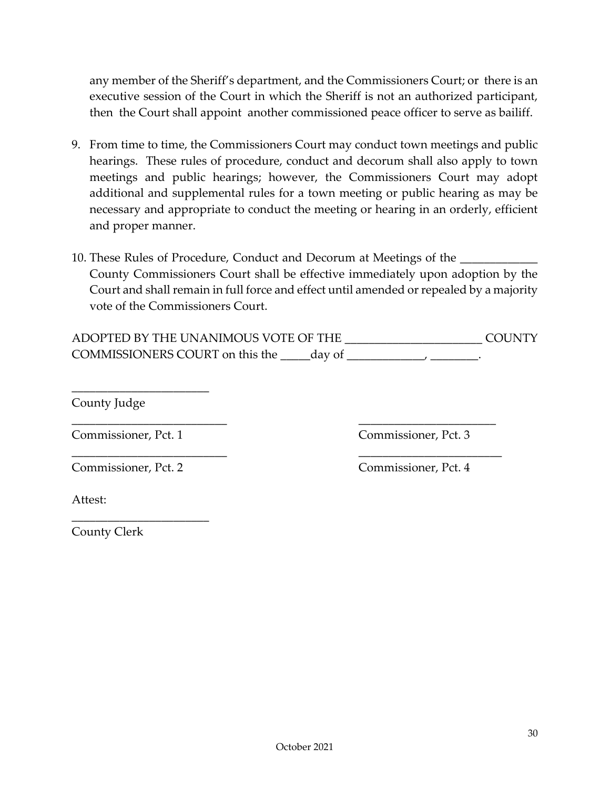any member of the Sheriff's department, and the Commissioners Court; or there is an executive session of the Court in which the Sheriff is not an authorized participant, then the Court shall appoint another commissioned peace officer to serve as bailiff.

- 9. From time to time, the Commissioners Court may conduct town meetings and public hearings. These rules of procedure, conduct and decorum shall also apply to town meetings and public hearings; however, the Commissioners Court may adopt additional and supplemental rules for a town meeting or public hearing as may be necessary and appropriate to conduct the meeting or hearing in an orderly, efficient and proper manner.
- 10. These Rules of Procedure, Conduct and Decorum at Meetings of the County Commissioners Court shall be effective immediately upon adoption by the Court and shall remain in full force and effect until amended or repealed by a majority vote of the Commissioners Court.

| ADOPTED BY THE UNANIMOUS VOTE OF THE |        |  |  | COLINTY |
|--------------------------------------|--------|--|--|---------|
| COMMISSIONERS COURT on this the      | day of |  |  |         |

\_\_\_\_\_\_\_\_\_\_\_\_\_\_\_\_\_\_\_\_\_\_\_\_\_\_ \_\_\_\_\_\_\_\_\_\_\_\_\_\_\_\_\_\_\_\_\_\_\_

\_\_\_\_\_\_\_\_\_\_\_\_\_\_\_\_\_\_\_\_\_\_\_\_\_\_ \_\_\_\_\_\_\_\_\_\_\_\_\_\_\_\_\_\_\_\_\_\_\_\_

County Judge

Commissioner, Pct. 1 Commissioner, Pct. 3

\_\_\_\_\_\_\_\_\_\_\_\_\_\_\_\_\_\_\_\_\_\_\_

Commissioner, Pct. 2 Commissioner, Pct. 4

\_\_\_\_\_\_\_\_\_\_\_\_\_\_\_\_\_\_\_\_\_\_\_

Attest:

County Clerk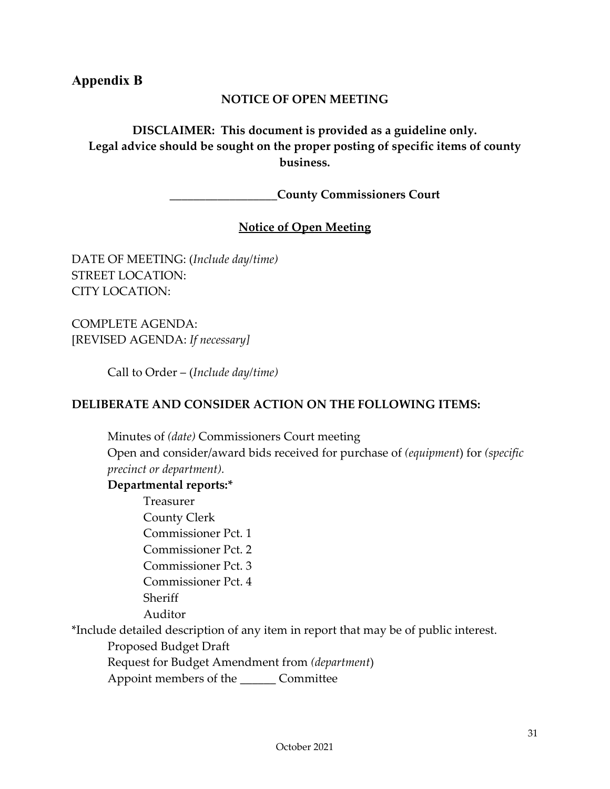## <span id="page-33-0"></span>**Appendix B**

#### **NOTICE OF OPEN MEETING**

**DISCLAIMER: This document is provided as a guideline only. Legal advice should be sought on the proper posting of specific items of county business.**

**\_\_\_\_\_\_\_\_\_\_\_\_\_\_\_\_\_\_County Commissioners Court** 

#### **Notice of Open Meeting**

DATE OF MEETING: (*Include day/time)* STREET LOCATION: CITY LOCATION:

COMPLETE AGENDA: [REVISED AGENDA: *If necessary]*

Call to Order – (*Include day/time)*

#### **DELIBERATE AND CONSIDER ACTION ON THE FOLLOWING ITEMS:**

Minutes of *(date)* Commissioners Court meeting Open and consider/award bids received for purchase of *(equipment*) for *(specific precinct or department).*

#### **Departmental reports:\***

Treasurer County Clerk Commissioner Pct. 1 Commissioner Pct. 2 Commissioner Pct. 3 Commissioner Pct. 4 Sheriff Auditor

\*Include detailed description of any item in report that may be of public interest.

Proposed Budget Draft

Request for Budget Amendment from *(department*)

Appoint members of the \_\_\_\_\_\_ Committee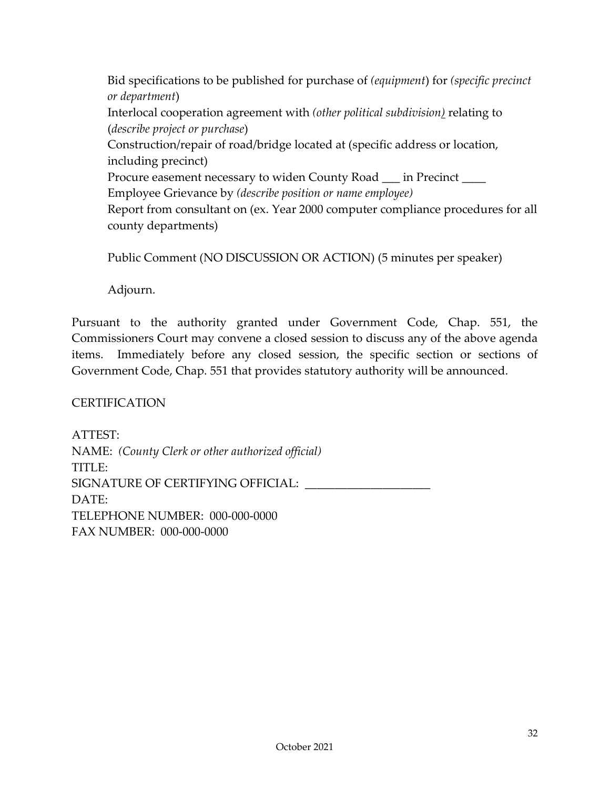Bid specifications to be published for purchase of *(equipment*) for *(specific precinct or department*) Interlocal cooperation agreement with *(other political subdivision)* relating to (*describe project or purchase*) Construction/repair of road/bridge located at (specific address or location, including precinct) Procure easement necessary to widen County Road \_\_\_ in Precinct Employee Grievance by *(describe position or name employee)* Report from consultant on (ex. Year 2000 computer compliance procedures for all county departments)

Public Comment (NO DISCUSSION OR ACTION) (5 minutes per speaker)

Adjourn.

Pursuant to the authority granted under Government Code, Chap. 551, the Commissioners Court may convene a closed session to discuss any of the above agenda items. Immediately before any closed session, the specific section or sections of Government Code, Chap. 551 that provides statutory authority will be announced.

**CERTIFICATION** 

ATTEST: NAME: *(County Clerk or other authorized official)* TITLE: SIGNATURE OF CERTIFYING OFFICIAL: DATE: TELEPHONE NUMBER: 000-000-0000 FAX NUMBER: 000-000-0000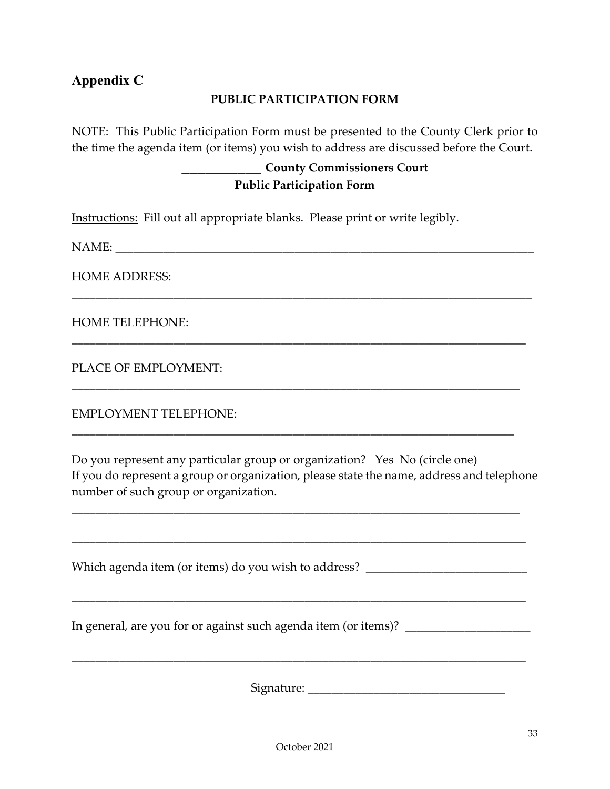# <span id="page-35-0"></span>**Appendix C**

#### **PUBLIC PARTICIPATION FORM**

NOTE: This Public Participation Form must be presented to the County Clerk prior to the time the agenda item (or items) you wish to address are discussed before the Court.

\_\_\_\_\_\_\_\_\_\_\_\_\_\_\_\_\_\_\_\_\_\_\_\_\_\_\_\_\_\_\_\_\_\_\_\_\_\_\_\_\_\_\_\_\_\_\_\_\_\_\_\_\_\_\_\_\_\_\_\_\_\_\_\_\_\_\_\_\_\_\_\_\_\_\_\_\_

\_\_\_\_\_\_\_\_\_\_\_\_\_\_\_\_\_\_\_\_\_\_\_\_\_\_\_\_\_\_\_\_\_\_\_\_\_\_\_\_\_\_\_\_\_\_\_\_\_\_\_\_\_\_\_\_\_\_\_\_\_\_\_\_\_\_\_\_\_\_\_\_\_\_\_\_

\_\_\_\_\_\_\_\_\_\_\_\_\_\_\_\_\_\_\_\_\_\_\_\_\_\_\_\_\_\_\_\_\_\_\_\_\_\_\_\_\_\_\_\_\_\_\_\_\_\_\_\_\_\_\_\_\_\_\_\_\_\_\_\_\_\_\_\_\_\_\_\_\_\_\_

\_\_\_\_\_\_\_\_\_\_\_\_\_\_\_\_\_\_\_\_\_\_\_\_\_\_\_\_\_\_\_\_\_\_\_\_\_\_\_\_\_\_\_\_\_\_\_\_\_\_\_\_\_\_\_\_\_\_\_\_\_\_\_\_\_\_\_\_\_\_\_\_\_\_

# **\_\_\_\_\_\_\_\_\_\_ County Commissioners Court Public Participation Form**

Instructions: Fill out all appropriate blanks. Please print or write legibly.

NAME:

HOME ADDRESS:

HOME TELEPHONE:

PLACE OF EMPLOYMENT:

EMPLOYMENT TELEPHONE:

Do you represent any particular group or organization? Yes No (circle one) If you do represent a group or organization, please state the name, address and telephone number of such group or organization.

\_\_\_\_\_\_\_\_\_\_\_\_\_\_\_\_\_\_\_\_\_\_\_\_\_\_\_\_\_\_\_\_\_\_\_\_\_\_\_\_\_\_\_\_\_\_\_\_\_\_\_\_\_\_\_\_\_\_\_\_\_\_\_\_\_\_\_\_\_\_\_\_\_\_\_

\_\_\_\_\_\_\_\_\_\_\_\_\_\_\_\_\_\_\_\_\_\_\_\_\_\_\_\_\_\_\_\_\_\_\_\_\_\_\_\_\_\_\_\_\_\_\_\_\_\_\_\_\_\_\_\_\_\_\_\_\_\_\_\_\_\_\_\_\_\_\_\_\_\_\_\_

Which agenda item (or items) do you wish to address? \_\_\_\_\_\_\_\_\_\_\_\_\_\_\_\_\_\_\_\_\_\_\_\_\_\_\_ \_\_\_\_\_\_\_\_\_\_\_\_\_\_\_\_\_\_\_\_\_\_\_\_\_\_\_\_\_\_\_\_\_\_\_\_\_\_\_\_\_\_\_\_\_\_\_\_\_\_\_\_\_\_\_\_\_\_\_\_\_\_\_\_\_\_\_\_\_\_\_\_\_\_\_\_ In general, are you for or against such agenda item (or items)? \_\_\_\_\_\_\_\_\_\_\_\_\_\_\_\_ \_\_\_\_\_\_\_\_\_\_\_\_\_\_\_\_\_\_\_\_\_\_\_\_\_\_\_\_\_\_\_\_\_\_\_\_\_\_\_\_\_\_\_\_\_\_\_\_\_\_\_\_\_\_\_\_\_\_\_\_\_\_\_\_\_\_\_\_\_\_\_\_\_\_\_\_

Signature: \_\_\_\_\_\_\_\_\_\_\_\_\_\_\_\_\_\_\_\_\_\_\_\_\_\_\_\_\_\_\_\_\_